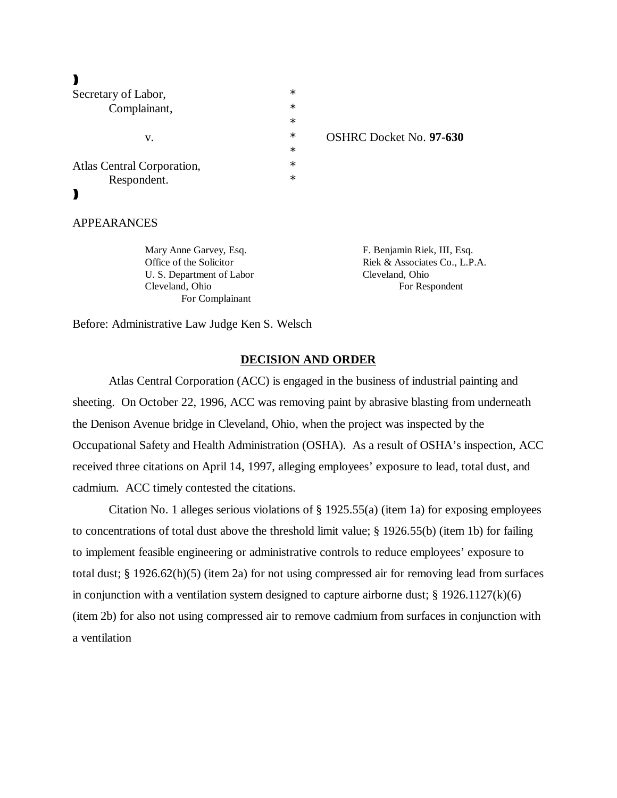# $\blacktriangleright$

| Secretary of Labor,        | $\ast$ |                                |
|----------------------------|--------|--------------------------------|
| Complainant,               | $\ast$ |                                |
|                            | $\ast$ |                                |
| V.                         | $\ast$ | <b>OSHRC Docket No. 97-630</b> |
|                            | $\ast$ |                                |
| Atlas Central Corporation, | $\ast$ |                                |
| Respondent.                | $\ast$ |                                |
|                            |        |                                |
|                            |        |                                |
|                            |        |                                |

APPEARANCES

Mary Anne Garvey, Esq. F. Benjamin Riek, III, Esq. U. S. Department of Labor Cleveland, Ohio Cleveland, Ohio For Respondent For Complainant

Office of the Solicitor Riek & Associates Co., L.P.A.

Before: Administrative Law Judge Ken S. Welsch

## **DECISION AND ORDER**

Atlas Central Corporation (ACC) is engaged in the business of industrial painting and sheeting. On October 22, 1996, ACC was removing paint by abrasive blasting from underneath the Denison Avenue bridge in Cleveland, Ohio, when the project was inspected by the Occupational Safety and Health Administration (OSHA). As a result of OSHA's inspection, ACC received three citations on April 14, 1997, alleging employees' exposure to lead, total dust, and cadmium. ACC timely contested the citations.

Citation No. 1 alleges serious violations of § 1925.55(a) (item 1a) for exposing employees to concentrations of total dust above the threshold limit value; § 1926.55(b) (item 1b) for failing to implement feasible engineering or administrative controls to reduce employees' exposure to total dust; § 1926.62(h)(5) (item 2a) for not using compressed air for removing lead from surfaces in conjunction with a ventilation system designed to capture airborne dust;  $\S 1926.1127(k)(6)$ (item 2b) for also not using compressed air to remove cadmium from surfaces in conjunction with a ventilation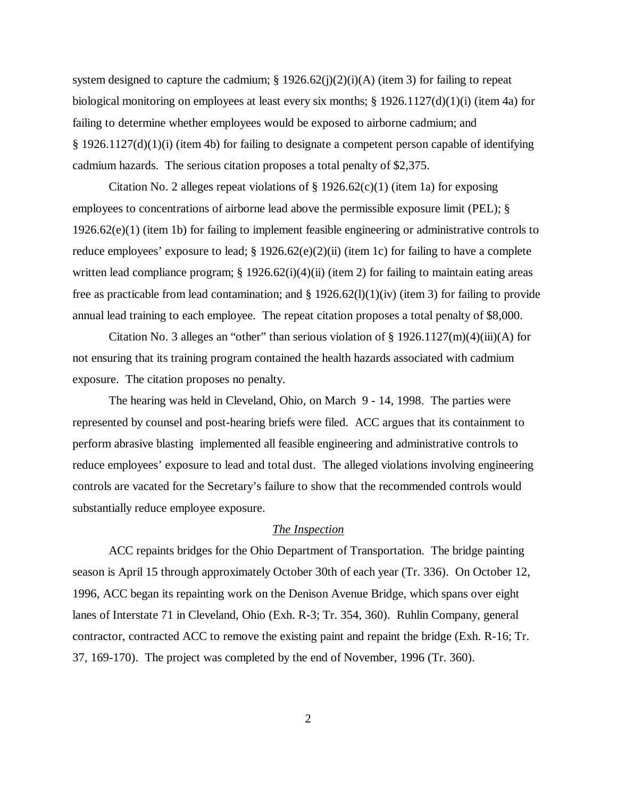system designed to capture the cadmium;  $\S 1926.62(j)(2)(i)(A)$  (item 3) for failing to repeat biological monitoring on employees at least every six months; § 1926.1127(d)(1)(i) (item 4a) for failing to determine whether employees would be exposed to airborne cadmium; and § 1926.1127(d)(1)(i) (item 4b) for failing to designate a competent person capable of identifying cadmium hazards. The serious citation proposes a total penalty of \$2,375.

Citation No. 2 alleges repeat violations of  $\S 1926.62(c)(1)$  (item 1a) for exposing employees to concentrations of airborne lead above the permissible exposure limit (PEL); § 1926.62(e)(1) (item 1b) for failing to implement feasible engineering or administrative controls to reduce employees' exposure to lead;  $\S 1926.62(e)(2)(ii)$  (item 1c) for failing to have a complete written lead compliance program;  $\S 1926.62(i)(4)(ii)$  (item 2) for failing to maintain eating areas free as practicable from lead contamination; and  $\S 1926.62(1)(1)(iv)$  (item 3) for failing to provide annual lead training to each employee. The repeat citation proposes a total penalty of \$8,000.

Citation No. 3 alleges an "other" than serious violation of  $\S 1926.1127(m)(4)(iii)(A)$  for not ensuring that its training program contained the health hazards associated with cadmium exposure. The citation proposes no penalty.

The hearing was held in Cleveland, Ohio, on March 9 - 14, 1998. The parties were represented by counsel and post-hearing briefs were filed. ACC argues that its containment to perform abrasive blasting implemented all feasible engineering and administrative controls to reduce employees' exposure to lead and total dust. The alleged violations involving engineering controls are vacated for the Secretary's failure to show that the recommended controls would substantially reduce employee exposure.

#### *The Inspection*

ACC repaints bridges for the Ohio Department of Transportation. The bridge painting season is April 15 through approximately October 30th of each year (Tr. 336). On October 12, 1996, ACC began its repainting work on the Denison Avenue Bridge, which spans over eight lanes of Interstate 71 in Cleveland, Ohio (Exh. R-3; Tr. 354, 360). Ruhlin Company, general contractor, contracted ACC to remove the existing paint and repaint the bridge (Exh. R-16; Tr. 37, 169-170). The project was completed by the end of November, 1996 (Tr. 360).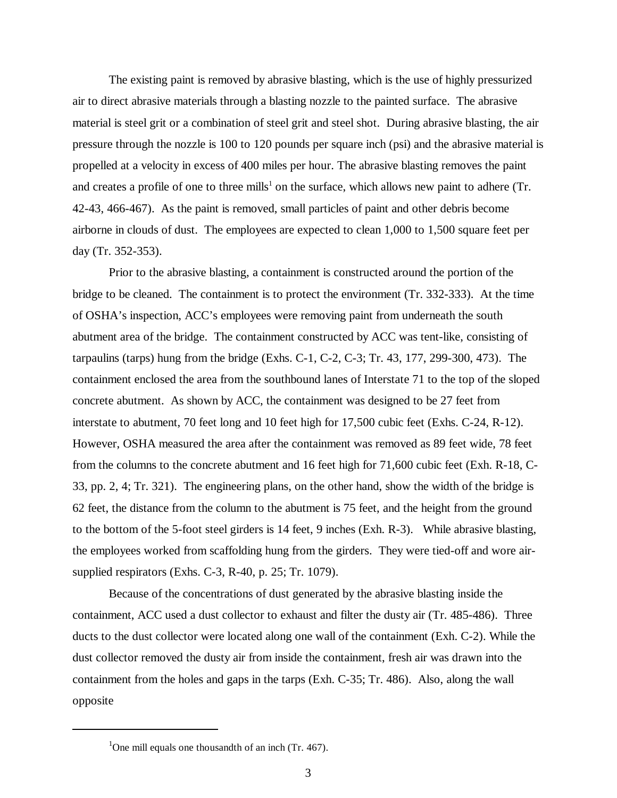The existing paint is removed by abrasive blasting, which is the use of highly pressurized air to direct abrasive materials through a blasting nozzle to the painted surface. The abrasive material is steel grit or a combination of steel grit and steel shot. During abrasive blasting, the air pressure through the nozzle is 100 to 120 pounds per square inch (psi) and the abrasive material is propelled at a velocity in excess of 400 miles per hour. The abrasive blasting removes the paint and creates a profile of one to three mills<sup>1</sup> on the surface, which allows new paint to adhere (Tr. 42-43, 466-467). As the paint is removed, small particles of paint and other debris become airborne in clouds of dust. The employees are expected to clean 1,000 to 1,500 square feet per day (Tr. 352-353).

Prior to the abrasive blasting, a containment is constructed around the portion of the bridge to be cleaned. The containment is to protect the environment (Tr. 332-333). At the time of OSHA's inspection, ACC's employees were removing paint from underneath the south abutment area of the bridge. The containment constructed by ACC was tent-like, consisting of tarpaulins (tarps) hung from the bridge (Exhs. C-1, C-2, C-3; Tr. 43, 177, 299-300, 473). The containment enclosed the area from the southbound lanes of Interstate 71 to the top of the sloped concrete abutment. As shown by ACC, the containment was designed to be 27 feet from interstate to abutment, 70 feet long and 10 feet high for 17,500 cubic feet (Exhs. C-24, R-12). However, OSHA measured the area after the containment was removed as 89 feet wide, 78 feet from the columns to the concrete abutment and 16 feet high for 71,600 cubic feet (Exh. R-18, C-33, pp. 2, 4; Tr. 321). The engineering plans, on the other hand, show the width of the bridge is 62 feet, the distance from the column to the abutment is 75 feet, and the height from the ground to the bottom of the 5-foot steel girders is 14 feet, 9 inches (Exh. R-3). While abrasive blasting, the employees worked from scaffolding hung from the girders. They were tied-off and wore airsupplied respirators (Exhs. C-3, R-40, p. 25; Tr. 1079).

Because of the concentrations of dust generated by the abrasive blasting inside the containment, ACC used a dust collector to exhaust and filter the dusty air (Tr. 485-486). Three ducts to the dust collector were located along one wall of the containment (Exh. C-2). While the dust collector removed the dusty air from inside the containment, fresh air was drawn into the containment from the holes and gaps in the tarps (Exh. C-35; Tr. 486). Also, along the wall opposite

<sup>&</sup>lt;sup>1</sup>One mill equals one thousandth of an inch (Tr. 467).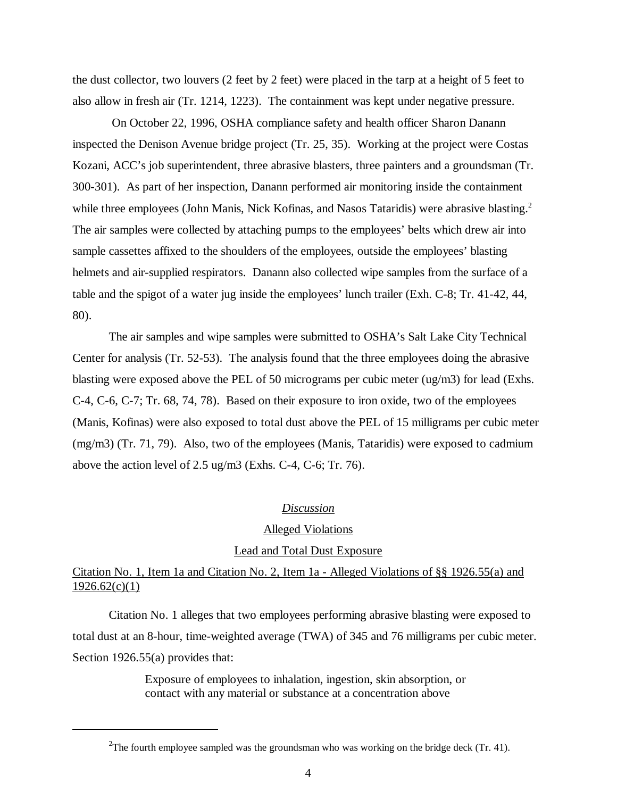the dust collector, two louvers (2 feet by 2 feet) were placed in the tarp at a height of 5 feet to also allow in fresh air (Tr. 1214, 1223). The containment was kept under negative pressure.

 On October 22, 1996, OSHA compliance safety and health officer Sharon Danann inspected the Denison Avenue bridge project (Tr. 25, 35). Working at the project were Costas Kozani, ACC's job superintendent, three abrasive blasters, three painters and a groundsman (Tr. 300-301). As part of her inspection, Danann performed air monitoring inside the containment while three employees (John Manis, Nick Kofinas, and Nasos Tataridis) were abrasive blasting.<sup>2</sup> The air samples were collected by attaching pumps to the employees' belts which drew air into sample cassettes affixed to the shoulders of the employees, outside the employees' blasting helmets and air-supplied respirators. Danann also collected wipe samples from the surface of a table and the spigot of a water jug inside the employees' lunch trailer (Exh. C-8; Tr. 41-42, 44, 80).

The air samples and wipe samples were submitted to OSHA's Salt Lake City Technical Center for analysis (Tr. 52-53). The analysis found that the three employees doing the abrasive blasting were exposed above the PEL of 50 micrograms per cubic meter (ug/m3) for lead (Exhs. C-4, C-6, C-7; Tr. 68, 74, 78). Based on their exposure to iron oxide, two of the employees (Manis, Kofinas) were also exposed to total dust above the PEL of 15 milligrams per cubic meter (mg/m3) (Tr. 71, 79). Also, two of the employees (Manis, Tataridis) were exposed to cadmium above the action level of 2.5 ug/m3 (Exhs. C-4, C-6; Tr. 76).

#### *Discussion*

#### Alleged Violations

#### Lead and Total Dust Exposure

# Citation No. 1, Item 1a and Citation No. 2, Item 1a - Alleged Violations of §§ 1926.55(a) and  $1926.62(c)(1)$

Citation No. 1 alleges that two employees performing abrasive blasting were exposed to total dust at an 8-hour, time-weighted average (TWA) of 345 and 76 milligrams per cubic meter. Section 1926.55(a) provides that:

> Exposure of employees to inhalation, ingestion, skin absorption, or contact with any material or substance at a concentration above

<sup>&</sup>lt;sup>2</sup>The fourth employee sampled was the groundsman who was working on the bridge deck (Tr. 41).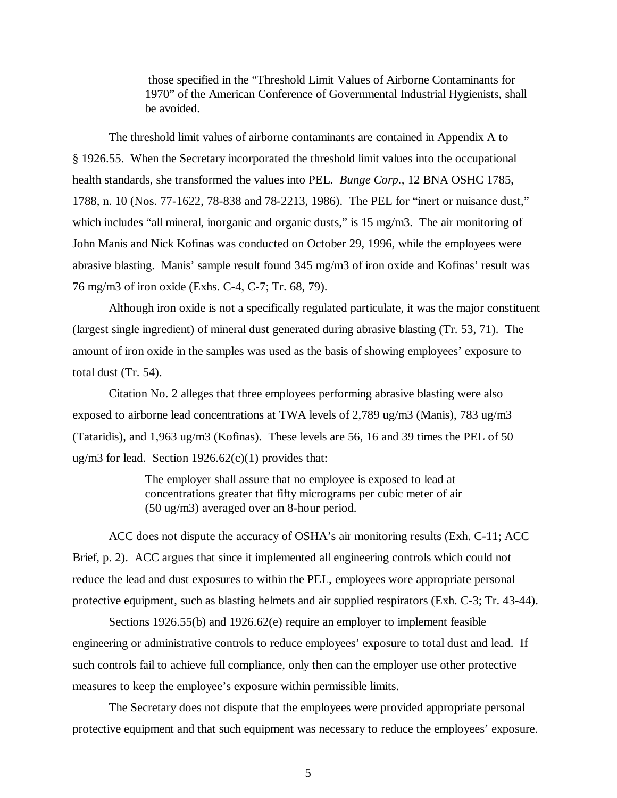those specified in the "Threshold Limit Values of Airborne Contaminants for 1970" of the American Conference of Governmental Industrial Hygienists, shall be avoided.

The threshold limit values of airborne contaminants are contained in Appendix A to § 1926.55. When the Secretary incorporated the threshold limit values into the occupational health standards, she transformed the values into PEL. *Bunge Corp.,* 12 BNA OSHC 1785, 1788, n. 10 (Nos. 77-1622, 78-838 and 78-2213, 1986). The PEL for "inert or nuisance dust," which includes "all mineral, inorganic and organic dusts," is 15 mg/m3. The air monitoring of John Manis and Nick Kofinas was conducted on October 29, 1996, while the employees were abrasive blasting. Manis' sample result found 345 mg/m3 of iron oxide and Kofinas' result was 76 mg/m3 of iron oxide (Exhs. C-4, C-7; Tr. 68, 79).

Although iron oxide is not a specifically regulated particulate, it was the major constituent (largest single ingredient) of mineral dust generated during abrasive blasting (Tr. 53, 71). The amount of iron oxide in the samples was used as the basis of showing employees' exposure to total dust (Tr. 54).

Citation No. 2 alleges that three employees performing abrasive blasting were also exposed to airborne lead concentrations at TWA levels of 2,789 ug/m3 (Manis), 783 ug/m3 (Tataridis), and 1,963 ug/m3 (Kofinas). These levels are 56, 16 and 39 times the PEL of 50 ug/m3 for lead. Section  $1926.62(c)(1)$  provides that:

> The employer shall assure that no employee is exposed to lead at concentrations greater that fifty micrograms per cubic meter of air (50 ug/m3) averaged over an 8-hour period.

ACC does not dispute the accuracy of OSHA's air monitoring results (Exh. C-11; ACC Brief, p. 2). ACC argues that since it implemented all engineering controls which could not reduce the lead and dust exposures to within the PEL, employees wore appropriate personal protective equipment, such as blasting helmets and air supplied respirators (Exh. C-3; Tr. 43-44).

Sections 1926.55(b) and 1926.62(e) require an employer to implement feasible engineering or administrative controls to reduce employees' exposure to total dust and lead. If such controls fail to achieve full compliance, only then can the employer use other protective measures to keep the employee's exposure within permissible limits.

The Secretary does not dispute that the employees were provided appropriate personal protective equipment and that such equipment was necessary to reduce the employees' exposure.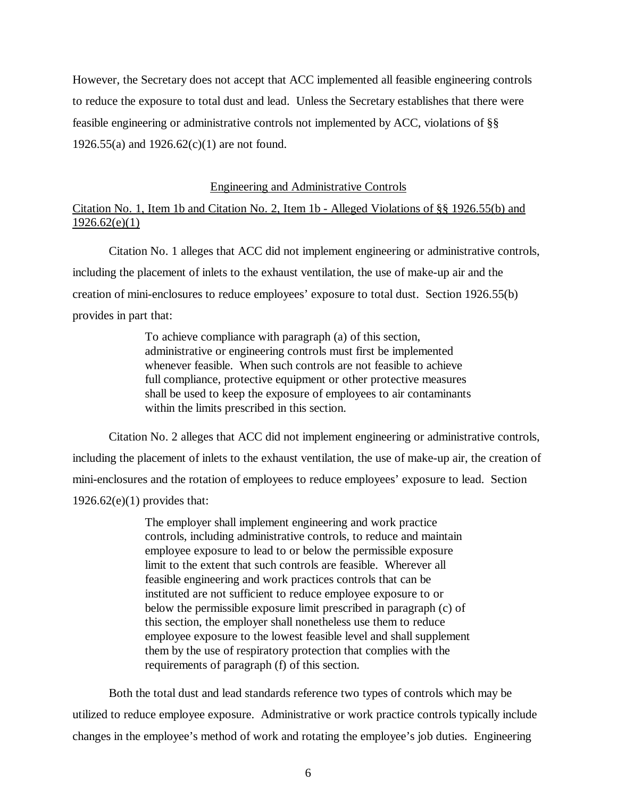However, the Secretary does not accept that ACC implemented all feasible engineering controls to reduce the exposure to total dust and lead. Unless the Secretary establishes that there were feasible engineering or administrative controls not implemented by ACC, violations of §§ 1926.55(a) and 1926.62(c)(1) are not found.

#### Engineering and Administrative Controls

# Citation No. 1, Item 1b and Citation No. 2, Item 1b - Alleged Violations of §§ 1926.55(b) and  $1926.62(e)(1)$

Citation No. 1 alleges that ACC did not implement engineering or administrative controls, including the placement of inlets to the exhaust ventilation, the use of make-up air and the creation of mini-enclosures to reduce employees' exposure to total dust. Section 1926.55(b) provides in part that:

> To achieve compliance with paragraph (a) of this section, administrative or engineering controls must first be implemented whenever feasible. When such controls are not feasible to achieve full compliance, protective equipment or other protective measures shall be used to keep the exposure of employees to air contaminants within the limits prescribed in this section.

Citation No. 2 alleges that ACC did not implement engineering or administrative controls, including the placement of inlets to the exhaust ventilation, the use of make-up air, the creation of mini-enclosures and the rotation of employees to reduce employees' exposure to lead. Section  $1926.62(e)(1)$  provides that:

> The employer shall implement engineering and work practice controls, including administrative controls, to reduce and maintain employee exposure to lead to or below the permissible exposure limit to the extent that such controls are feasible. Wherever all feasible engineering and work practices controls that can be instituted are not sufficient to reduce employee exposure to or below the permissible exposure limit prescribed in paragraph (c) of this section, the employer shall nonetheless use them to reduce employee exposure to the lowest feasible level and shall supplement them by the use of respiratory protection that complies with the requirements of paragraph (f) of this section.

Both the total dust and lead standards reference two types of controls which may be utilized to reduce employee exposure. Administrative or work practice controls typically include changes in the employee's method of work and rotating the employee's job duties. Engineering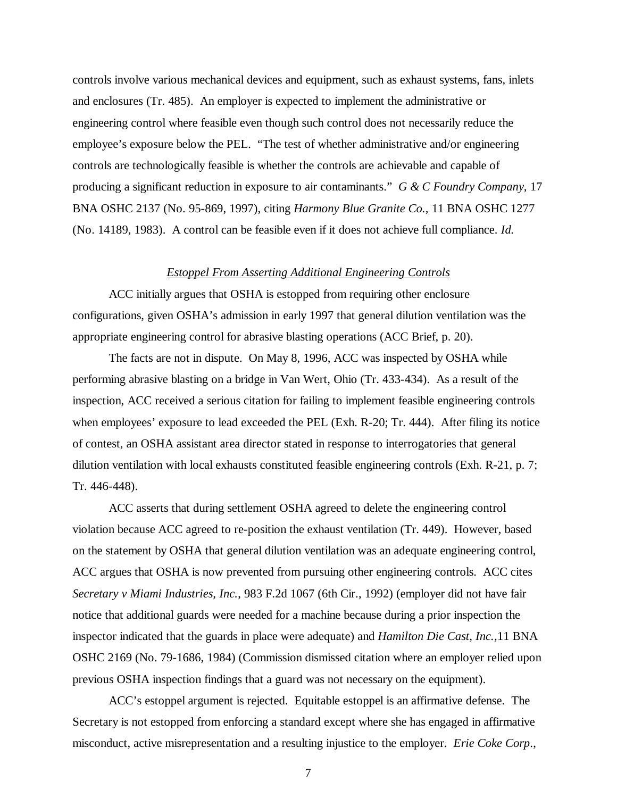controls involve various mechanical devices and equipment, such as exhaust systems, fans, inlets and enclosures (Tr. 485). An employer is expected to implement the administrative or engineering control where feasible even though such control does not necessarily reduce the employee's exposure below the PEL. "The test of whether administrative and/or engineering controls are technologically feasible is whether the controls are achievable and capable of producing a significant reduction in exposure to air contaminants." *G & C Foundry Company,* 17 BNA OSHC 2137 (No. 95-869, 1997), citing *Harmony Blue Granite Co.,* 11 BNA OSHC 1277 (No. 14189, 1983). A control can be feasible even if it does not achieve full compliance. *Id.*

#### *Estoppel From Asserting Additional Engineering Controls*

ACC initially argues that OSHA is estopped from requiring other enclosure configurations, given OSHA's admission in early 1997 that general dilution ventilation was the appropriate engineering control for abrasive blasting operations (ACC Brief, p. 20).

The facts are not in dispute. On May 8, 1996, ACC was inspected by OSHA while performing abrasive blasting on a bridge in Van Wert, Ohio (Tr. 433-434). As a result of the inspection, ACC received a serious citation for failing to implement feasible engineering controls when employees' exposure to lead exceeded the PEL (Exh. R-20; Tr. 444). After filing its notice of contest, an OSHA assistant area director stated in response to interrogatories that general dilution ventilation with local exhausts constituted feasible engineering controls (Exh. R-21, p. 7; Tr. 446-448).

ACC asserts that during settlement OSHA agreed to delete the engineering control violation because ACC agreed to re-position the exhaust ventilation (Tr. 449). However, based on the statement by OSHA that general dilution ventilation was an adequate engineering control, ACC argues that OSHA is now prevented from pursuing other engineering controls. ACC cites *Secretary v Miami Industries, Inc.*, 983 F.2d 1067 (6th Cir., 1992) (employer did not have fair notice that additional guards were needed for a machine because during a prior inspection the inspector indicated that the guards in place were adequate) and *Hamilton Die Cast, Inc.,*11 BNA OSHC 2169 (No. 79-1686, 1984) (Commission dismissed citation where an employer relied upon previous OSHA inspection findings that a guard was not necessary on the equipment).

ACC's estoppel argument is rejected. Equitable estoppel is an affirmative defense. The Secretary is not estopped from enforcing a standard except where she has engaged in affirmative misconduct, active misrepresentation and a resulting injustice to the employer. *Erie Coke Corp*.,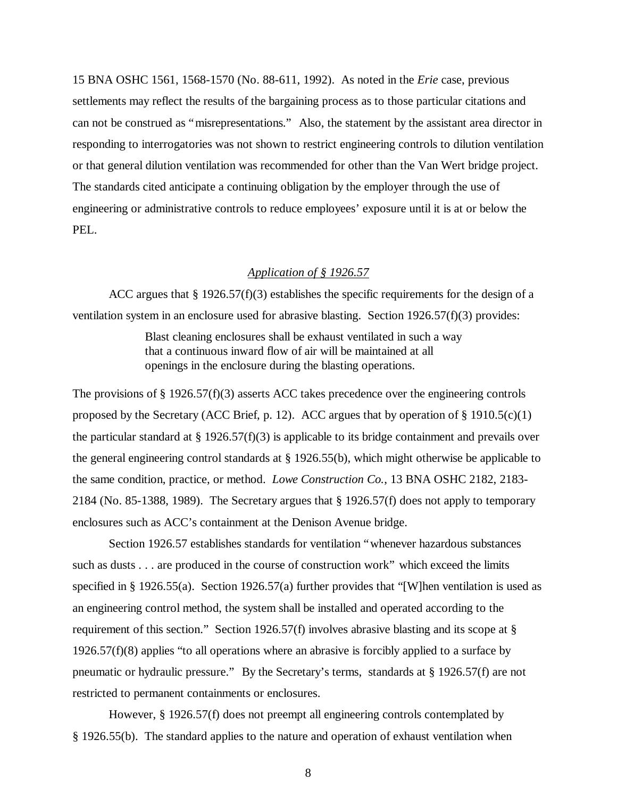15 BNA OSHC 1561, 1568-1570 (No. 88-611, 1992). As noted in the *Erie* case, previous settlements may reflect the results of the bargaining process as to those particular citations and can not be construed as "misrepresentations." Also, the statement by the assistant area director in responding to interrogatories was not shown to restrict engineering controls to dilution ventilation or that general dilution ventilation was recommended for other than the Van Wert bridge project. The standards cited anticipate a continuing obligation by the employer through the use of engineering or administrative controls to reduce employees' exposure until it is at or below the PEL.

# *Application of § 1926.57*

ACC argues that  $\S 1926.57(f)(3)$  establishes the specific requirements for the design of a ventilation system in an enclosure used for abrasive blasting. Section 1926.57(f)(3) provides:

> Blast cleaning enclosures shall be exhaust ventilated in such a way that a continuous inward flow of air will be maintained at all openings in the enclosure during the blasting operations.

The provisions of § 1926.57(f)(3) asserts ACC takes precedence over the engineering controls proposed by the Secretary (ACC Brief, p. 12). ACC argues that by operation of  $\S$  1910.5(c)(1) the particular standard at § 1926.57(f)(3) is applicable to its bridge containment and prevails over the general engineering control standards at § 1926.55(b), which might otherwise be applicable to the same condition, practice, or method. *Lowe Construction Co.*, 13 BNA OSHC 2182, 2183- 2184 (No. 85-1388, 1989). The Secretary argues that § 1926.57(f) does not apply to temporary enclosures such as ACC's containment at the Denison Avenue bridge.

Section 1926.57 establishes standards for ventilation "whenever hazardous substances such as dusts . . . are produced in the course of construction work" which exceed the limits specified in § 1926.55(a). Section 1926.57(a) further provides that "[W]hen ventilation is used as an engineering control method, the system shall be installed and operated according to the requirement of this section." Section 1926.57(f) involves abrasive blasting and its scope at  $\S$  $1926.57(f)(8)$  applies "to all operations where an abrasive is forcibly applied to a surface by pneumatic or hydraulic pressure." By the Secretary's terms, standards at § 1926.57(f) are not restricted to permanent containments or enclosures.

However, § 1926.57(f) does not preempt all engineering controls contemplated by § 1926.55(b). The standard applies to the nature and operation of exhaust ventilation when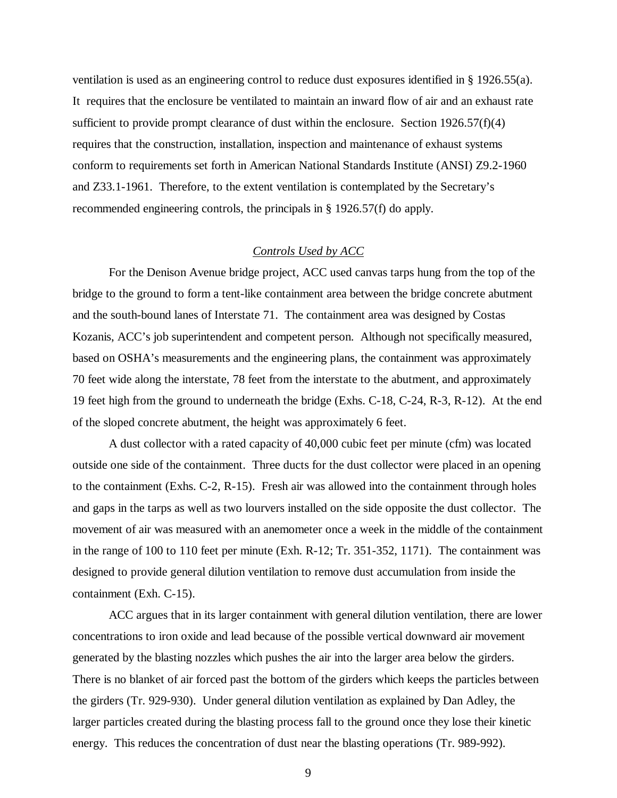ventilation is used as an engineering control to reduce dust exposures identified in § 1926.55(a). It requires that the enclosure be ventilated to maintain an inward flow of air and an exhaust rate sufficient to provide prompt clearance of dust within the enclosure. Section  $1926.57(f)(4)$ requires that the construction, installation, inspection and maintenance of exhaust systems conform to requirements set forth in American National Standards Institute (ANSI) Z9.2-1960 and Z33.1-1961. Therefore, to the extent ventilation is contemplated by the Secretary's recommended engineering controls, the principals in § 1926.57(f) do apply.

# *Controls Used by ACC*

For the Denison Avenue bridge project, ACC used canvas tarps hung from the top of the bridge to the ground to form a tent-like containment area between the bridge concrete abutment and the south-bound lanes of Interstate 71. The containment area was designed by Costas Kozanis, ACC's job superintendent and competent person. Although not specifically measured, based on OSHA's measurements and the engineering plans, the containment was approximately 70 feet wide along the interstate, 78 feet from the interstate to the abutment, and approximately 19 feet high from the ground to underneath the bridge (Exhs. C-18, C-24, R-3, R-12). At the end of the sloped concrete abutment, the height was approximately 6 feet.

A dust collector with a rated capacity of 40,000 cubic feet per minute (cfm) was located outside one side of the containment. Three ducts for the dust collector were placed in an opening to the containment (Exhs. C-2, R-15). Fresh air was allowed into the containment through holes and gaps in the tarps as well as two lourvers installed on the side opposite the dust collector. The movement of air was measured with an anemometer once a week in the middle of the containment in the range of 100 to 110 feet per minute (Exh. R-12; Tr. 351-352, 1171). The containment was designed to provide general dilution ventilation to remove dust accumulation from inside the containment (Exh. C-15).

ACC argues that in its larger containment with general dilution ventilation, there are lower concentrations to iron oxide and lead because of the possible vertical downward air movement generated by the blasting nozzles which pushes the air into the larger area below the girders. There is no blanket of air forced past the bottom of the girders which keeps the particles between the girders (Tr. 929-930). Under general dilution ventilation as explained by Dan Adley, the larger particles created during the blasting process fall to the ground once they lose their kinetic energy. This reduces the concentration of dust near the blasting operations (Tr. 989-992).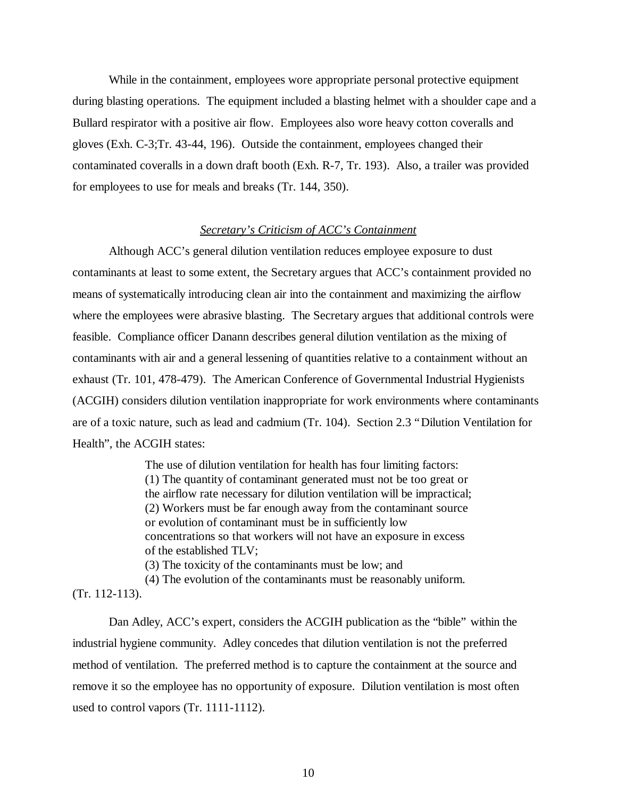While in the containment, employees wore appropriate personal protective equipment during blasting operations. The equipment included a blasting helmet with a shoulder cape and a Bullard respirator with a positive air flow. Employees also wore heavy cotton coveralls and gloves (Exh. C-3;Tr. 43-44, 196). Outside the containment, employees changed their contaminated coveralls in a down draft booth (Exh. R-7, Tr. 193). Also, a trailer was provided for employees to use for meals and breaks (Tr. 144, 350).

# *Secretary's Criticism of ACC's Containment*

Although ACC's general dilution ventilation reduces employee exposure to dust contaminants at least to some extent, the Secretary argues that ACC's containment provided no means of systematically introducing clean air into the containment and maximizing the airflow where the employees were abrasive blasting. The Secretary argues that additional controls were feasible. Compliance officer Danann describes general dilution ventilation as the mixing of contaminants with air and a general lessening of quantities relative to a containment without an exhaust (Tr. 101, 478-479). The American Conference of Governmental Industrial Hygienists (ACGIH) considers dilution ventilation inappropriate for work environments where contaminants are of a toxic nature, such as lead and cadmium (Tr. 104). Section 2.3 "Dilution Ventilation for Health", the ACGIH states:

> The use of dilution ventilation for health has four limiting factors: (1) The quantity of contaminant generated must not be too great or the airflow rate necessary for dilution ventilation will be impractical; (2) Workers must be far enough away from the contaminant source or evolution of contaminant must be in sufficiently low concentrations so that workers will not have an exposure in excess of the established TLV;

(3) The toxicity of the contaminants must be low; and

(4) The evolution of the contaminants must be reasonably uniform.

(Tr. 112-113).

Dan Adley, ACC's expert, considers the ACGIH publication as the "bible" within the industrial hygiene community. Adley concedes that dilution ventilation is not the preferred method of ventilation. The preferred method is to capture the containment at the source and remove it so the employee has no opportunity of exposure. Dilution ventilation is most often used to control vapors (Tr. 1111-1112).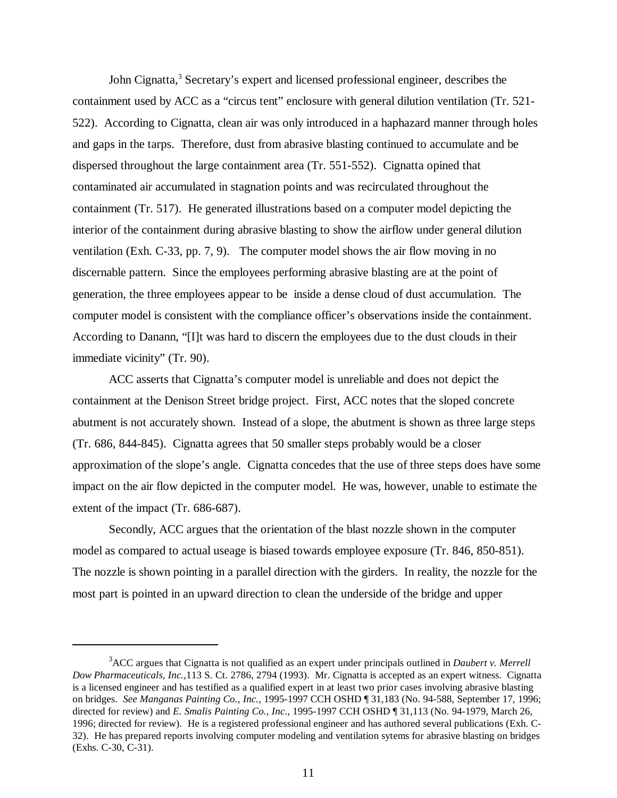John Cignatta,<sup>3</sup> Secretary's expert and licensed professional engineer, describes the containment used by ACC as a "circus tent" enclosure with general dilution ventilation (Tr. 521- 522). According to Cignatta, clean air was only introduced in a haphazard manner through holes and gaps in the tarps. Therefore, dust from abrasive blasting continued to accumulate and be dispersed throughout the large containment area (Tr. 551-552). Cignatta opined that contaminated air accumulated in stagnation points and was recirculated throughout the containment (Tr. 517). He generated illustrations based on a computer model depicting the interior of the containment during abrasive blasting to show the airflow under general dilution ventilation (Exh. C-33, pp. 7, 9). The computer model shows the air flow moving in no discernable pattern. Since the employees performing abrasive blasting are at the point of generation, the three employees appear to be inside a dense cloud of dust accumulation. The computer model is consistent with the compliance officer's observations inside the containment. According to Danann, "[I]t was hard to discern the employees due to the dust clouds in their immediate vicinity" (Tr. 90).

ACC asserts that Cignatta's computer model is unreliable and does not depict the containment at the Denison Street bridge project. First, ACC notes that the sloped concrete abutment is not accurately shown. Instead of a slope, the abutment is shown as three large steps (Tr. 686, 844-845). Cignatta agrees that 50 smaller steps probably would be a closer approximation of the slope's angle. Cignatta concedes that the use of three steps does have some impact on the air flow depicted in the computer model. He was, however, unable to estimate the extent of the impact (Tr. 686-687).

Secondly, ACC argues that the orientation of the blast nozzle shown in the computer model as compared to actual useage is biased towards employee exposure (Tr. 846, 850-851). The nozzle is shown pointing in a parallel direction with the girders. In reality, the nozzle for the most part is pointed in an upward direction to clean the underside of the bridge and upper

<sup>3</sup>ACC argues that Cignatta is not qualified as an expert under principals outlined in *Daubert v. Merrell Dow Pharmaceuticals, Inc.,*113 S. Ct. 2786, 2794 (1993). Mr. Cignatta is accepted as an expert witness. Cignatta is a licensed engineer and has testified as a qualified expert in at least two prior cases involving abrasive blasting on bridges. *See Manganas Painting Co., Inc.,* 1995-1997 CCH OSHD ¶ 31,183 (No. 94-588, September 17, 1996; directed for review) and *E. Smalis Painting Co., Inc*., 1995-1997 CCH OSHD ¶ 31,113 (No. 94-1979, March 26, 1996; directed for review). He is a registered professional engineer and has authored several publications (Exh. C-32). He has prepared reports involving computer modeling and ventilation sytems for abrasive blasting on bridges (Exhs. C-30, C-31).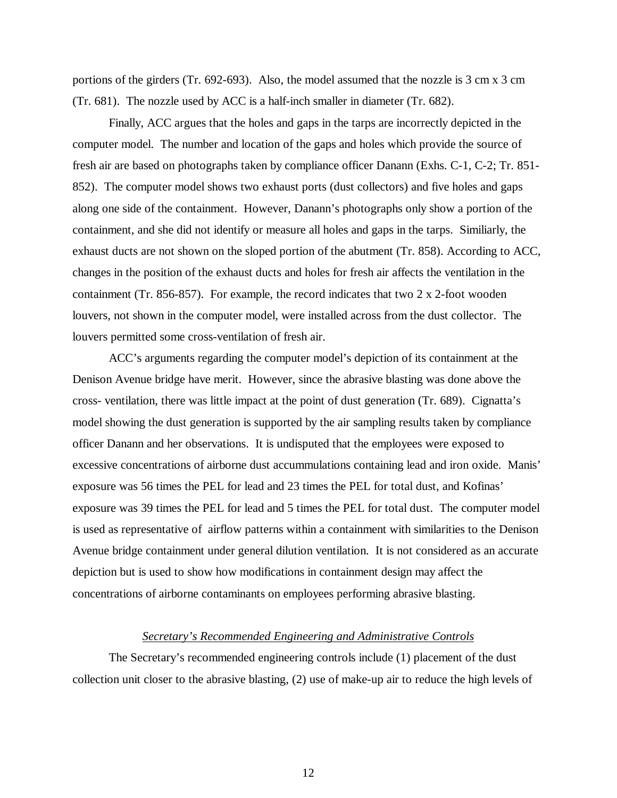portions of the girders (Tr. 692-693). Also, the model assumed that the nozzle is 3 cm x 3 cm (Tr. 681). The nozzle used by ACC is a half-inch smaller in diameter (Tr. 682).

Finally, ACC argues that the holes and gaps in the tarps are incorrectly depicted in the computer model. The number and location of the gaps and holes which provide the source of fresh air are based on photographs taken by compliance officer Danann (Exhs. C-1, C-2; Tr. 851- 852). The computer model shows two exhaust ports (dust collectors) and five holes and gaps along one side of the containment. However, Danann's photographs only show a portion of the containment, and she did not identify or measure all holes and gaps in the tarps. Similiarly, the exhaust ducts are not shown on the sloped portion of the abutment (Tr. 858). According to ACC, changes in the position of the exhaust ducts and holes for fresh air affects the ventilation in the containment (Tr. 856-857). For example, the record indicates that two 2 x 2-foot wooden louvers, not shown in the computer model, were installed across from the dust collector. The louvers permitted some cross-ventilation of fresh air.

ACC's arguments regarding the computer model's depiction of its containment at the Denison Avenue bridge have merit. However, since the abrasive blasting was done above the cross- ventilation, there was little impact at the point of dust generation (Tr. 689). Cignatta's model showing the dust generation is supported by the air sampling results taken by compliance officer Danann and her observations. It is undisputed that the employees were exposed to excessive concentrations of airborne dust accummulations containing lead and iron oxide. Manis' exposure was 56 times the PEL for lead and 23 times the PEL for total dust, and Kofinas' exposure was 39 times the PEL for lead and 5 times the PEL for total dust. The computer model is used as representative of airflow patterns within a containment with similarities to the Denison Avenue bridge containment under general dilution ventilation. It is not considered as an accurate depiction but is used to show how modifications in containment design may affect the concentrations of airborne contaminants on employees performing abrasive blasting.

#### *Secretary's Recommended Engineering and Administrative Controls*

The Secretary's recommended engineering controls include (1) placement of the dust collection unit closer to the abrasive blasting, (2) use of make-up air to reduce the high levels of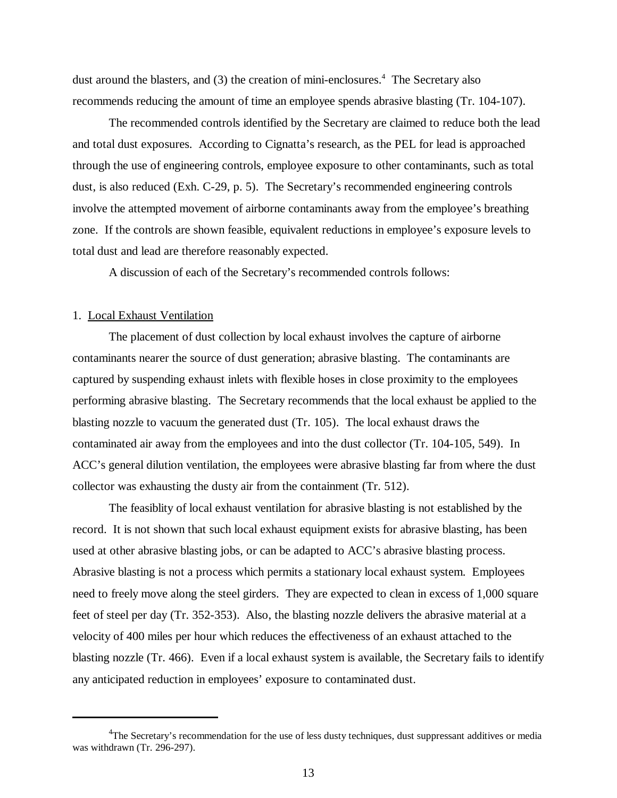dust around the blasters, and (3) the creation of mini-enclosures.<sup>4</sup> The Secretary also recommends reducing the amount of time an employee spends abrasive blasting (Tr. 104-107).

The recommended controls identified by the Secretary are claimed to reduce both the lead and total dust exposures. According to Cignatta's research, as the PEL for lead is approached through the use of engineering controls, employee exposure to other contaminants, such as total dust, is also reduced (Exh. C-29, p. 5). The Secretary's recommended engineering controls involve the attempted movement of airborne contaminants away from the employee's breathing zone. If the controls are shown feasible, equivalent reductions in employee's exposure levels to total dust and lead are therefore reasonably expected.

A discussion of each of the Secretary's recommended controls follows:

# 1. Local Exhaust Ventilation

The placement of dust collection by local exhaust involves the capture of airborne contaminants nearer the source of dust generation; abrasive blasting. The contaminants are captured by suspending exhaust inlets with flexible hoses in close proximity to the employees performing abrasive blasting. The Secretary recommends that the local exhaust be applied to the blasting nozzle to vacuum the generated dust (Tr. 105). The local exhaust draws the contaminated air away from the employees and into the dust collector (Tr. 104-105, 549). In ACC's general dilution ventilation, the employees were abrasive blasting far from where the dust collector was exhausting the dusty air from the containment (Tr. 512).

The feasiblity of local exhaust ventilation for abrasive blasting is not established by the record. It is not shown that such local exhaust equipment exists for abrasive blasting, has been used at other abrasive blasting jobs, or can be adapted to ACC's abrasive blasting process. Abrasive blasting is not a process which permits a stationary local exhaust system. Employees need to freely move along the steel girders. They are expected to clean in excess of 1,000 square feet of steel per day (Tr. 352-353). Also, the blasting nozzle delivers the abrasive material at a velocity of 400 miles per hour which reduces the effectiveness of an exhaust attached to the blasting nozzle (Tr. 466). Even if a local exhaust system is available, the Secretary fails to identify any anticipated reduction in employees' exposure to contaminated dust.

<sup>&</sup>lt;sup>4</sup>The Secretary's recommendation for the use of less dusty techniques, dust suppressant additives or media was withdrawn (Tr. 296-297).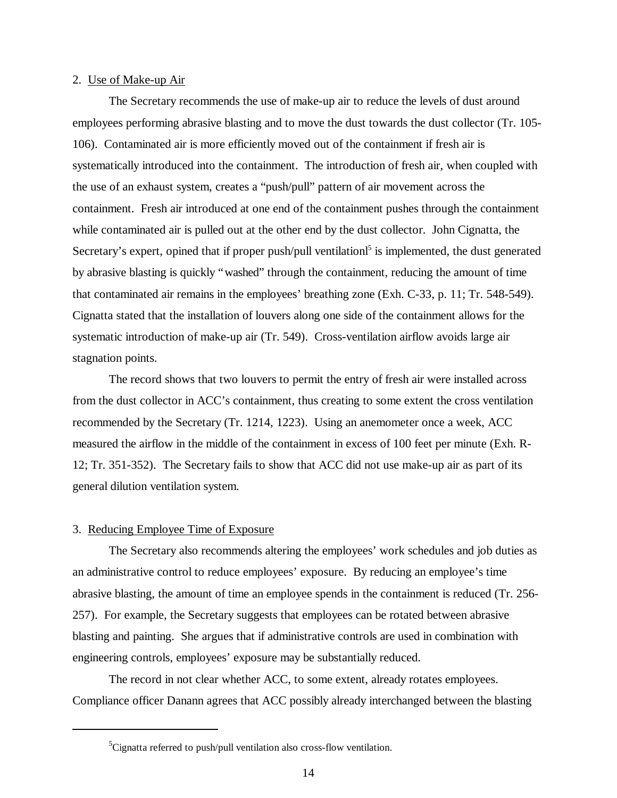#### 2. Use of Make-up Air

The Secretary recommends the use of make-up air to reduce the levels of dust around employees performing abrasive blasting and to move the dust towards the dust collector (Tr. 105- 106). Contaminated air is more efficiently moved out of the containment if fresh air is systematically introduced into the containment. The introduction of fresh air, when coupled with the use of an exhaust system, creates a "push/pull" pattern of air movement across the containment. Fresh air introduced at one end of the containment pushes through the containment while contaminated air is pulled out at the other end by the dust collector. John Cignatta, the Secretary's expert, opined that if proper push/pull ventilation<sup>5</sup> is implemented, the dust generated by abrasive blasting is quickly "washed" through the containment, reducing the amount of time that contaminated air remains in the employees' breathing zone (Exh. C-33, p. 11; Tr. 548-549). Cignatta stated that the installation of louvers along one side of the containment allows for the systematic introduction of make-up air (Tr. 549). Cross-ventilation airflow avoids large air stagnation points.

The record shows that two louvers to permit the entry of fresh air were installed across from the dust collector in ACC's containment, thus creating to some extent the cross ventilation recommended by the Secretary (Tr. 1214, 1223). Using an anemometer once a week, ACC measured the airflow in the middle of the containment in excess of 100 feet per minute (Exh. R-12; Tr. 351-352). The Secretary fails to show that ACC did not use make-up air as part of its general dilution ventilation system.

#### 3. Reducing Employee Time of Exposure

The Secretary also recommends altering the employees' work schedules and job duties as an administrative control to reduce employees' exposure. By reducing an employee's time abrasive blasting, the amount of time an employee spends in the containment is reduced (Tr. 256- 257). For example, the Secretary suggests that employees can be rotated between abrasive blasting and painting. She argues that if administrative controls are used in combination with engineering controls, employees' exposure may be substantially reduced.

The record in not clear whether ACC, to some extent, already rotates employees. Compliance officer Danann agrees that ACC possibly already interchanged between the blasting

 ${}^{5}$ Cignatta referred to push/pull ventilation also cross-flow ventilation.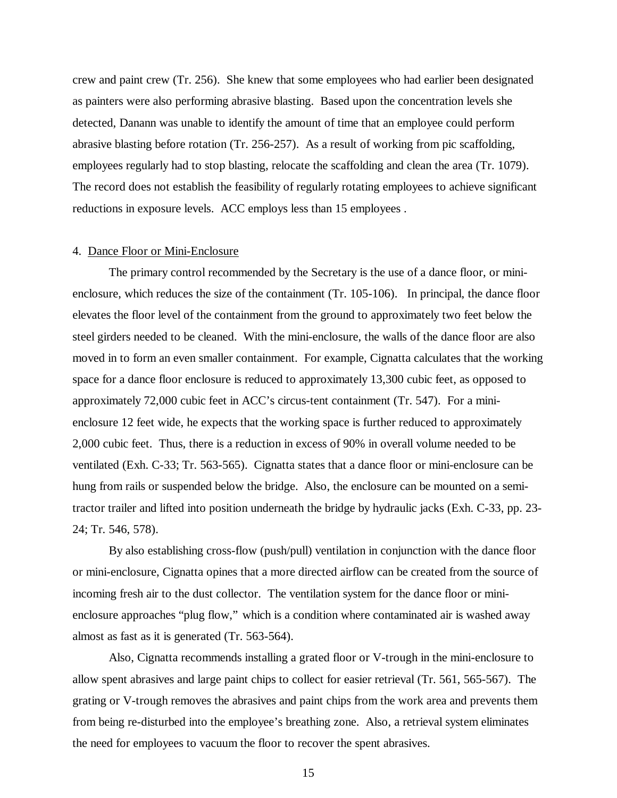crew and paint crew (Tr. 256). She knew that some employees who had earlier been designated as painters were also performing abrasive blasting. Based upon the concentration levels she detected, Danann was unable to identify the amount of time that an employee could perform abrasive blasting before rotation (Tr. 256-257). As a result of working from pic scaffolding, employees regularly had to stop blasting, relocate the scaffolding and clean the area (Tr. 1079). The record does not establish the feasibility of regularly rotating employees to achieve significant reductions in exposure levels. ACC employs less than 15 employees .

### 4. Dance Floor or Mini-Enclosure

The primary control recommended by the Secretary is the use of a dance floor, or minienclosure, which reduces the size of the containment (Tr. 105-106). In principal, the dance floor elevates the floor level of the containment from the ground to approximately two feet below the steel girders needed to be cleaned. With the mini-enclosure, the walls of the dance floor are also moved in to form an even smaller containment. For example, Cignatta calculates that the working space for a dance floor enclosure is reduced to approximately 13,300 cubic feet, as opposed to approximately 72,000 cubic feet in ACC's circus-tent containment (Tr. 547). For a minienclosure 12 feet wide, he expects that the working space is further reduced to approximately 2,000 cubic feet. Thus, there is a reduction in excess of 90% in overall volume needed to be ventilated (Exh. C-33; Tr. 563-565). Cignatta states that a dance floor or mini-enclosure can be hung from rails or suspended below the bridge. Also, the enclosure can be mounted on a semitractor trailer and lifted into position underneath the bridge by hydraulic jacks (Exh. C-33, pp. 23- 24; Tr. 546, 578).

By also establishing cross-flow (push/pull) ventilation in conjunction with the dance floor or mini-enclosure, Cignatta opines that a more directed airflow can be created from the source of incoming fresh air to the dust collector. The ventilation system for the dance floor or minienclosure approaches "plug flow," which is a condition where contaminated air is washed away almost as fast as it is generated (Tr. 563-564).

Also, Cignatta recommends installing a grated floor or V-trough in the mini-enclosure to allow spent abrasives and large paint chips to collect for easier retrieval (Tr. 561, 565-567). The grating or V-trough removes the abrasives and paint chips from the work area and prevents them from being re-disturbed into the employee's breathing zone. Also, a retrieval system eliminates the need for employees to vacuum the floor to recover the spent abrasives.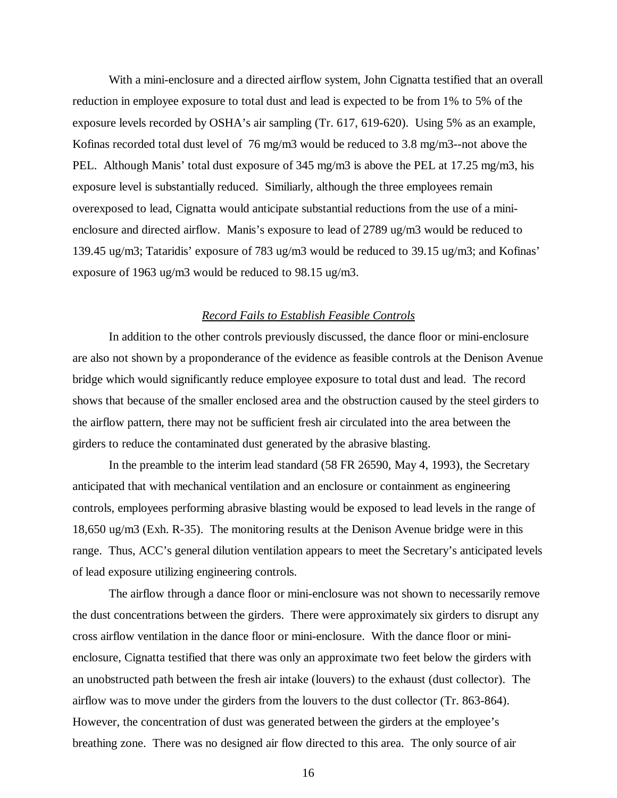With a mini-enclosure and a directed airflow system, John Cignatta testified that an overall reduction in employee exposure to total dust and lead is expected to be from 1% to 5% of the exposure levels recorded by OSHA's air sampling (Tr. 617, 619-620). Using 5% as an example, Kofinas recorded total dust level of 76 mg/m3 would be reduced to 3.8 mg/m3--not above the PEL. Although Manis' total dust exposure of 345 mg/m3 is above the PEL at 17.25 mg/m3, his exposure level is substantially reduced. Similiarly, although the three employees remain overexposed to lead, Cignatta would anticipate substantial reductions from the use of a minienclosure and directed airflow. Manis's exposure to lead of 2789 ug/m3 would be reduced to 139.45 ug/m3; Tataridis' exposure of 783 ug/m3 would be reduced to 39.15 ug/m3; and Kofinas' exposure of 1963 ug/m3 would be reduced to 98.15 ug/m3.

# *Record Fails to Establish Feasible Controls*

In addition to the other controls previously discussed, the dance floor or mini-enclosure are also not shown by a proponderance of the evidence as feasible controls at the Denison Avenue bridge which would significantly reduce employee exposure to total dust and lead. The record shows that because of the smaller enclosed area and the obstruction caused by the steel girders to the airflow pattern, there may not be sufficient fresh air circulated into the area between the girders to reduce the contaminated dust generated by the abrasive blasting.

In the preamble to the interim lead standard (58 FR 26590, May 4, 1993), the Secretary anticipated that with mechanical ventilation and an enclosure or containment as engineering controls, employees performing abrasive blasting would be exposed to lead levels in the range of 18,650 ug/m3 (Exh. R-35). The monitoring results at the Denison Avenue bridge were in this range. Thus, ACC's general dilution ventilation appears to meet the Secretary's anticipated levels of lead exposure utilizing engineering controls.

The airflow through a dance floor or mini-enclosure was not shown to necessarily remove the dust concentrations between the girders. There were approximately six girders to disrupt any cross airflow ventilation in the dance floor or mini-enclosure. With the dance floor or minienclosure, Cignatta testified that there was only an approximate two feet below the girders with an unobstructed path between the fresh air intake (louvers) to the exhaust (dust collector). The airflow was to move under the girders from the louvers to the dust collector (Tr. 863-864). However, the concentration of dust was generated between the girders at the employee's breathing zone. There was no designed air flow directed to this area. The only source of air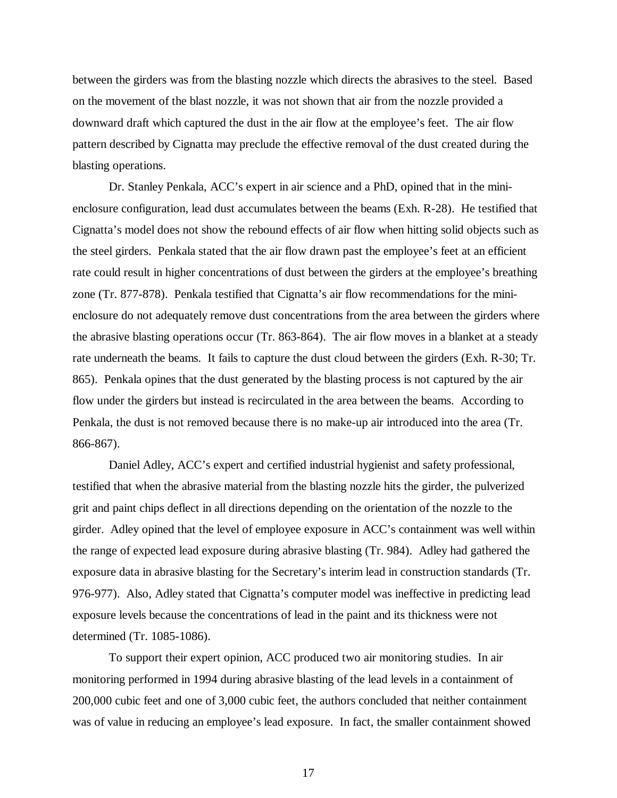between the girders was from the blasting nozzle which directs the abrasives to the steel. Based on the movement of the blast nozzle, it was not shown that air from the nozzle provided a downward draft which captured the dust in the air flow at the employee's feet. The air flow pattern described by Cignatta may preclude the effective removal of the dust created during the blasting operations.

Dr. Stanley Penkala, ACC's expert in air science and a PhD, opined that in the minienclosure configuration, lead dust accumulates between the beams (Exh. R-28). He testified that Cignatta's model does not show the rebound effects of air flow when hitting solid objects such as the steel girders. Penkala stated that the air flow drawn past the employee's feet at an efficient rate could result in higher concentrations of dust between the girders at the employee's breathing zone (Tr. 877-878). Penkala testified that Cignatta's air flow recommendations for the minienclosure do not adequately remove dust concentrations from the area between the girders where the abrasive blasting operations occur (Tr. 863-864). The air flow moves in a blanket at a steady rate underneath the beams. It fails to capture the dust cloud between the girders (Exh. R-30; Tr. 865). Penkala opines that the dust generated by the blasting process is not captured by the air flow under the girders but instead is recirculated in the area between the beams. According to Penkala, the dust is not removed because there is no make-up air introduced into the area (Tr. 866-867).

Daniel Adley, ACC's expert and certified industrial hygienist and safety professional, testified that when the abrasive material from the blasting nozzle hits the girder, the pulverized grit and paint chips deflect in all directions depending on the orientation of the nozzle to the girder. Adley opined that the level of employee exposure in ACC's containment was well within the range of expected lead exposure during abrasive blasting (Tr. 984). Adley had gathered the exposure data in abrasive blasting for the Secretary's interim lead in construction standards (Tr. 976-977). Also, Adley stated that Cignatta's computer model was ineffective in predicting lead exposure levels because the concentrations of lead in the paint and its thickness were not determined (Tr. 1085-1086).

To support their expert opinion, ACC produced two air monitoring studies. In air monitoring performed in 1994 during abrasive blasting of the lead levels in a containment of 200,000 cubic feet and one of 3,000 cubic feet, the authors concluded that neither containment was of value in reducing an employee's lead exposure. In fact, the smaller containment showed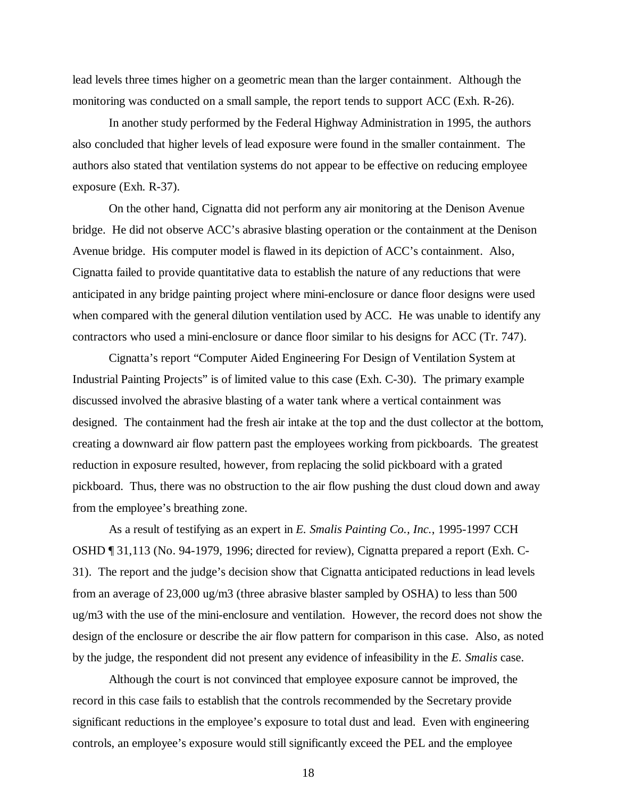lead levels three times higher on a geometric mean than the larger containment. Although the monitoring was conducted on a small sample, the report tends to support ACC (Exh. R-26).

In another study performed by the Federal Highway Administration in 1995, the authors also concluded that higher levels of lead exposure were found in the smaller containment. The authors also stated that ventilation systems do not appear to be effective on reducing employee exposure (Exh. R-37).

On the other hand, Cignatta did not perform any air monitoring at the Denison Avenue bridge. He did not observe ACC's abrasive blasting operation or the containment at the Denison Avenue bridge. His computer model is flawed in its depiction of ACC's containment. Also, Cignatta failed to provide quantitative data to establish the nature of any reductions that were anticipated in any bridge painting project where mini-enclosure or dance floor designs were used when compared with the general dilution ventilation used by ACC. He was unable to identify any contractors who used a mini-enclosure or dance floor similar to his designs for ACC (Tr. 747).

Cignatta's report "Computer Aided Engineering For Design of Ventilation System at Industrial Painting Projects" is of limited value to this case (Exh. C-30). The primary example discussed involved the abrasive blasting of a water tank where a vertical containment was designed. The containment had the fresh air intake at the top and the dust collector at the bottom, creating a downward air flow pattern past the employees working from pickboards. The greatest reduction in exposure resulted, however, from replacing the solid pickboard with a grated pickboard. Thus, there was no obstruction to the air flow pushing the dust cloud down and away from the employee's breathing zone.

As a result of testifying as an expert in *E. Smalis Painting Co., Inc.*, 1995-1997 CCH OSHD ¶ 31,113 (No. 94-1979, 1996; directed for review), Cignatta prepared a report (Exh. C-31). The report and the judge's decision show that Cignatta anticipated reductions in lead levels from an average of 23,000 ug/m3 (three abrasive blaster sampled by OSHA) to less than 500 ug/m3 with the use of the mini-enclosure and ventilation. However, the record does not show the design of the enclosure or describe the air flow pattern for comparison in this case. Also, as noted by the judge, the respondent did not present any evidence of infeasibility in the *E. Smalis* case.

Although the court is not convinced that employee exposure cannot be improved, the record in this case fails to establish that the controls recommended by the Secretary provide significant reductions in the employee's exposure to total dust and lead. Even with engineering controls, an employee's exposure would still significantly exceed the PEL and the employee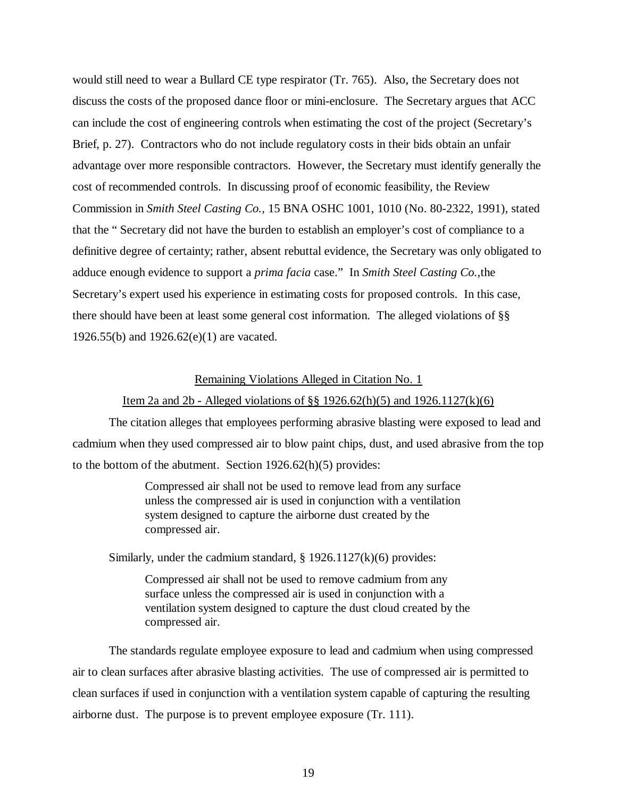would still need to wear a Bullard CE type respirator (Tr. 765). Also, the Secretary does not discuss the costs of the proposed dance floor or mini-enclosure. The Secretary argues that ACC can include the cost of engineering controls when estimating the cost of the project (Secretary's Brief, p. 27). Contractors who do not include regulatory costs in their bids obtain an unfair advantage over more responsible contractors. However, the Secretary must identify generally the cost of recommended controls. In discussing proof of economic feasibility, the Review Commission in *Smith Steel Casting Co.,* 15 BNA OSHC 1001, 1010 (No. 80-2322, 1991), stated that the " Secretary did not have the burden to establish an employer's cost of compliance to a definitive degree of certainty; rather, absent rebuttal evidence, the Secretary was only obligated to adduce enough evidence to support a *prima facia* case." In *Smith Steel Casting Co.,*the Secretary's expert used his experience in estimating costs for proposed controls. In this case, there should have been at least some general cost information. The alleged violations of §§ 1926.55(b) and 1926.62(e)(1) are vacated.

#### Remaining Violations Alleged in Citation No. 1

### Item 2a and 2b - Alleged violations of §§ 1926.62(h)(5) and 1926.1127(k)(6)

The citation alleges that employees performing abrasive blasting were exposed to lead and cadmium when they used compressed air to blow paint chips, dust, and used abrasive from the top to the bottom of the abutment. Section 1926.62(h)(5) provides:

> Compressed air shall not be used to remove lead from any surface unless the compressed air is used in conjunction with a ventilation system designed to capture the airborne dust created by the compressed air.

Similarly, under the cadmium standard,  $\S$  1926.1127(k)(6) provides:

Compressed air shall not be used to remove cadmium from any surface unless the compressed air is used in conjunction with a ventilation system designed to capture the dust cloud created by the compressed air.

The standards regulate employee exposure to lead and cadmium when using compressed air to clean surfaces after abrasive blasting activities. The use of compressed air is permitted to clean surfaces if used in conjunction with a ventilation system capable of capturing the resulting airborne dust. The purpose is to prevent employee exposure (Tr. 111).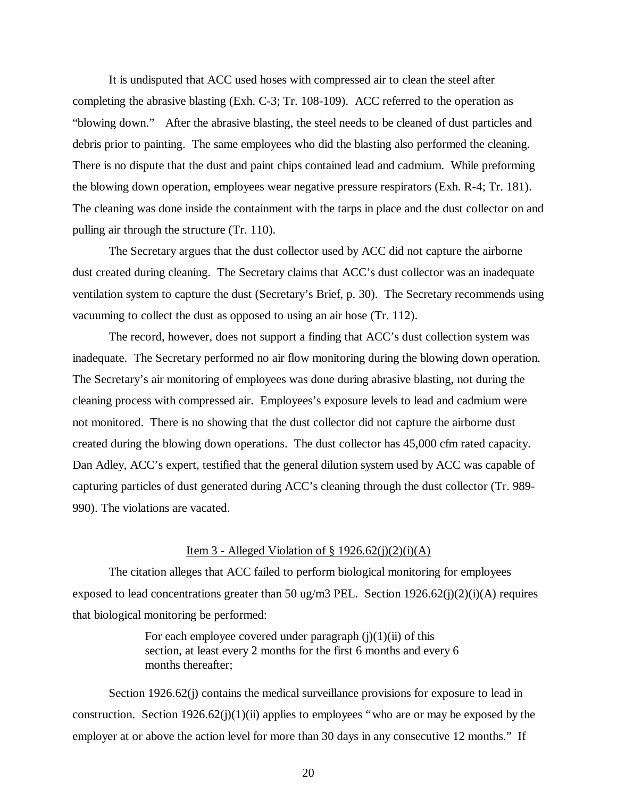It is undisputed that ACC used hoses with compressed air to clean the steel after completing the abrasive blasting (Exh. C-3; Tr. 108-109). ACC referred to the operation as "blowing down." After the abrasive blasting, the steel needs to be cleaned of dust particles and debris prior to painting. The same employees who did the blasting also performed the cleaning. There is no dispute that the dust and paint chips contained lead and cadmium. While preforming the blowing down operation, employees wear negative pressure respirators (Exh. R-4; Tr. 181). The cleaning was done inside the containment with the tarps in place and the dust collector on and pulling air through the structure (Tr. 110).

The Secretary argues that the dust collector used by ACC did not capture the airborne dust created during cleaning. The Secretary claims that ACC's dust collector was an inadequate ventilation system to capture the dust (Secretary's Brief, p. 30). The Secretary recommends using vacuuming to collect the dust as opposed to using an air hose (Tr. 112).

The record, however, does not support a finding that ACC's dust collection system was inadequate. The Secretary performed no air flow monitoring during the blowing down operation. The Secretary's air monitoring of employees was done during abrasive blasting, not during the cleaning process with compressed air. Employees's exposure levels to lead and cadmium were not monitored. There is no showing that the dust collector did not capture the airborne dust created during the blowing down operations. The dust collector has 45,000 cfm rated capacity. Dan Adley, ACC's expert, testified that the general dilution system used by ACC was capable of capturing particles of dust generated during ACC's cleaning through the dust collector (Tr. 989- 990). The violations are vacated.

#### Item 3 - Alleged Violation of  $\S 1926.62(j)(2)(i)(A)$

The citation alleges that ACC failed to perform biological monitoring for employees exposed to lead concentrations greater than 50 ug/m3 PEL. Section  $1926.62(j)(2)(i)(A)$  requires that biological monitoring be performed:

> For each employee covered under paragraph  $(i)(1)(ii)$  of this section, at least every 2 months for the first 6 months and every 6 months thereafter;

Section 1926.62(j) contains the medical surveillance provisions for exposure to lead in construction. Section 1926.62(j)(1)(ii) applies to employees "who are or may be exposed by the employer at or above the action level for more than 30 days in any consecutive 12 months." If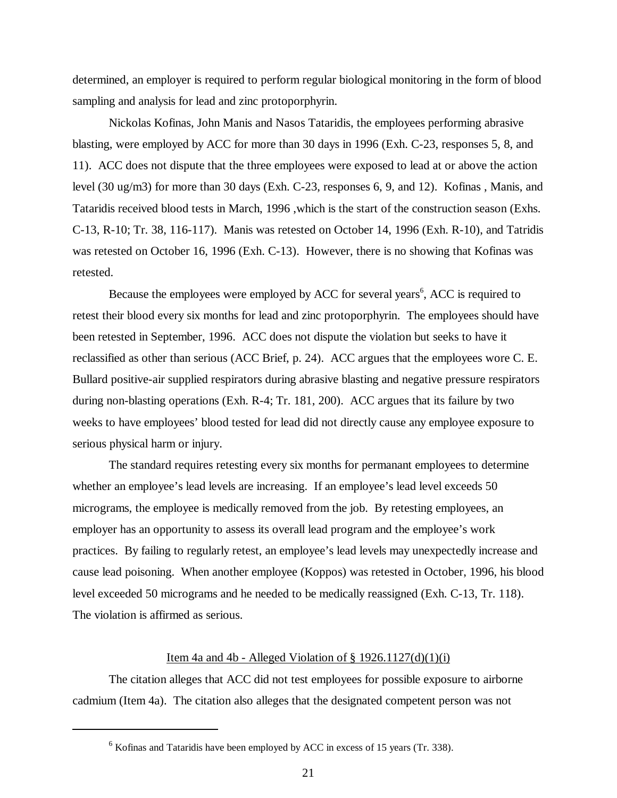determined, an employer is required to perform regular biological monitoring in the form of blood sampling and analysis for lead and zinc protoporphyrin.

Nickolas Kofinas, John Manis and Nasos Tataridis, the employees performing abrasive blasting, were employed by ACC for more than 30 days in 1996 (Exh. C-23, responses 5, 8, and 11). ACC does not dispute that the three employees were exposed to lead at or above the action level (30 ug/m3) for more than 30 days (Exh. C-23, responses 6, 9, and 12). Kofinas , Manis, and Tataridis received blood tests in March, 1996 ,which is the start of the construction season (Exhs. C-13, R-10; Tr. 38, 116-117). Manis was retested on October 14, 1996 (Exh. R-10), and Tatridis was retested on October 16, 1996 (Exh. C-13). However, there is no showing that Kofinas was retested.

Because the employees were employed by ACC for several years<sup>6</sup>, ACC is required to retest their blood every six months for lead and zinc protoporphyrin. The employees should have been retested in September, 1996. ACC does not dispute the violation but seeks to have it reclassified as other than serious (ACC Brief, p. 24). ACC argues that the employees wore C. E. Bullard positive-air supplied respirators during abrasive blasting and negative pressure respirators during non-blasting operations (Exh. R-4; Tr. 181, 200). ACC argues that its failure by two weeks to have employees' blood tested for lead did not directly cause any employee exposure to serious physical harm or injury.

The standard requires retesting every six months for permanant employees to determine whether an employee's lead levels are increasing. If an employee's lead level exceeds 50 micrograms, the employee is medically removed from the job. By retesting employees, an employer has an opportunity to assess its overall lead program and the employee's work practices. By failing to regularly retest, an employee's lead levels may unexpectedly increase and cause lead poisoning. When another employee (Koppos) was retested in October, 1996, his blood level exceeded 50 micrograms and he needed to be medically reassigned (Exh. C-13, Tr. 118). The violation is affirmed as serious.

## Item 4a and 4b - Alleged Violation of  $\S$  1926.1127(d)(1)(i)

The citation alleges that ACC did not test employees for possible exposure to airborne cadmium (Item 4a). The citation also alleges that the designated competent person was not

 $<sup>6</sup>$  Kofinas and Tataridis have been employed by ACC in excess of 15 years (Tr. 338).</sup>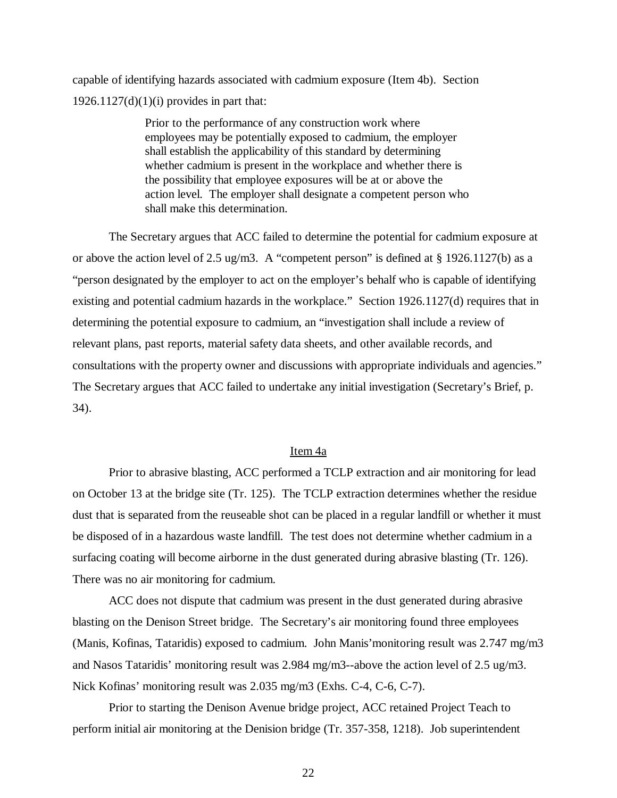capable of identifying hazards associated with cadmium exposure (Item 4b). Section  $1926.1127(d)(1)(i)$  provides in part that:

> Prior to the performance of any construction work where employees may be potentially exposed to cadmium, the employer shall establish the applicability of this standard by determining whether cadmium is present in the workplace and whether there is the possibility that employee exposures will be at or above the action level. The employer shall designate a competent person who shall make this determination.

The Secretary argues that ACC failed to determine the potential for cadmium exposure at or above the action level of 2.5 ug/m3. A "competent person" is defined at  $\S 1926.1127(b)$  as a "person designated by the employer to act on the employer's behalf who is capable of identifying existing and potential cadmium hazards in the workplace." Section 1926.1127(d) requires that in determining the potential exposure to cadmium, an "investigation shall include a review of relevant plans, past reports, material safety data sheets, and other available records, and consultations with the property owner and discussions with appropriate individuals and agencies." The Secretary argues that ACC failed to undertake any initial investigation (Secretary's Brief, p. 34).

# Item 4a

Prior to abrasive blasting, ACC performed a TCLP extraction and air monitoring for lead on October 13 at the bridge site (Tr. 125). The TCLP extraction determines whether the residue dust that is separated from the reuseable shot can be placed in a regular landfill or whether it must be disposed of in a hazardous waste landfill. The test does not determine whether cadmium in a surfacing coating will become airborne in the dust generated during abrasive blasting (Tr. 126). There was no air monitoring for cadmium.

ACC does not dispute that cadmium was present in the dust generated during abrasive blasting on the Denison Street bridge. The Secretary's air monitoring found three employees (Manis, Kofinas, Tataridis) exposed to cadmium. John Manis'monitoring result was 2.747 mg/m3 and Nasos Tataridis' monitoring result was 2.984 mg/m3--above the action level of 2.5 ug/m3. Nick Kofinas' monitoring result was 2.035 mg/m3 (Exhs. C-4, C-6, C-7).

Prior to starting the Denison Avenue bridge project, ACC retained Project Teach to perform initial air monitoring at the Denision bridge (Tr. 357-358, 1218). Job superintendent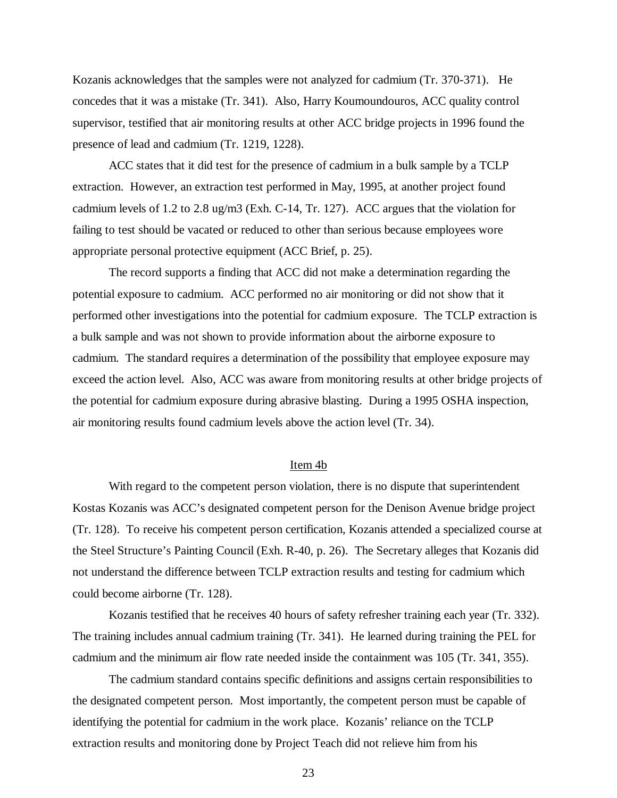Kozanis acknowledges that the samples were not analyzed for cadmium (Tr. 370-371). He concedes that it was a mistake (Tr. 341). Also, Harry Koumoundouros, ACC quality control supervisor, testified that air monitoring results at other ACC bridge projects in 1996 found the presence of lead and cadmium (Tr. 1219, 1228).

ACC states that it did test for the presence of cadmium in a bulk sample by a TCLP extraction. However, an extraction test performed in May, 1995, at another project found cadmium levels of 1.2 to 2.8 ug/m3 (Exh. C-14, Tr. 127). ACC argues that the violation for failing to test should be vacated or reduced to other than serious because employees wore appropriate personal protective equipment (ACC Brief, p. 25).

The record supports a finding that ACC did not make a determination regarding the potential exposure to cadmium. ACC performed no air monitoring or did not show that it performed other investigations into the potential for cadmium exposure. The TCLP extraction is a bulk sample and was not shown to provide information about the airborne exposure to cadmium. The standard requires a determination of the possibility that employee exposure may exceed the action level. Also, ACC was aware from monitoring results at other bridge projects of the potential for cadmium exposure during abrasive blasting. During a 1995 OSHA inspection, air monitoring results found cadmium levels above the action level (Tr. 34).

#### Item 4b

With regard to the competent person violation, there is no dispute that superintendent Kostas Kozanis was ACC's designated competent person for the Denison Avenue bridge project (Tr. 128). To receive his competent person certification, Kozanis attended a specialized course at the Steel Structure's Painting Council (Exh. R-40, p. 26). The Secretary alleges that Kozanis did not understand the difference between TCLP extraction results and testing for cadmium which could become airborne (Tr. 128).

Kozanis testified that he receives 40 hours of safety refresher training each year (Tr. 332). The training includes annual cadmium training (Tr. 341). He learned during training the PEL for cadmium and the minimum air flow rate needed inside the containment was 105 (Tr. 341, 355).

The cadmium standard contains specific definitions and assigns certain responsibilities to the designated competent person. Most importantly, the competent person must be capable of identifying the potential for cadmium in the work place. Kozanis' reliance on the TCLP extraction results and monitoring done by Project Teach did not relieve him from his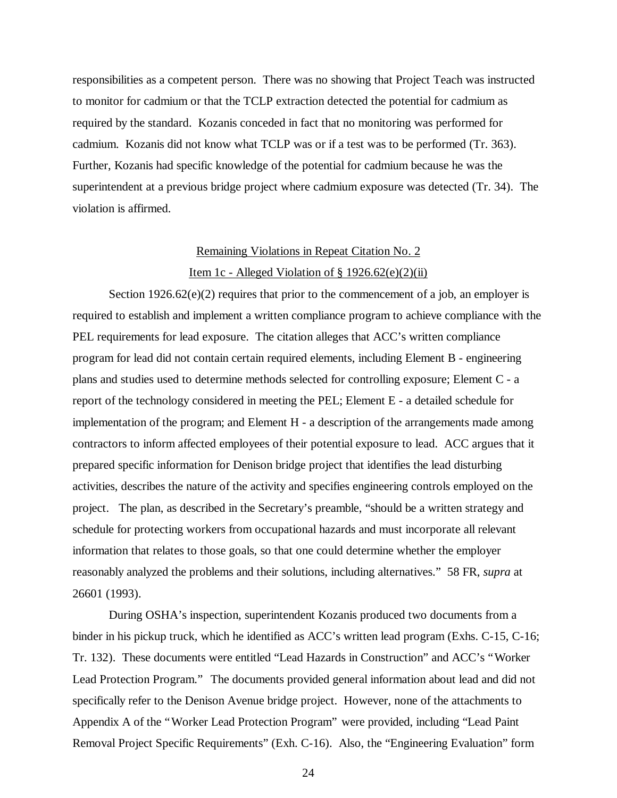responsibilities as a competent person. There was no showing that Project Teach was instructed to monitor for cadmium or that the TCLP extraction detected the potential for cadmium as required by the standard. Kozanis conceded in fact that no monitoring was performed for cadmium. Kozanis did not know what TCLP was or if a test was to be performed (Tr. 363). Further, Kozanis had specific knowledge of the potential for cadmium because he was the superintendent at a previous bridge project where cadmium exposure was detected (Tr. 34). The violation is affirmed.

# Remaining Violations in Repeat Citation No. 2 Item 1c - Alleged Violation of  $\S 1926.62(e)(2)(ii)$

Section  $1926.62(e)(2)$  requires that prior to the commencement of a job, an employer is required to establish and implement a written compliance program to achieve compliance with the PEL requirements for lead exposure. The citation alleges that ACC's written compliance program for lead did not contain certain required elements, including Element B - engineering plans and studies used to determine methods selected for controlling exposure; Element C - a report of the technology considered in meeting the PEL; Element E - a detailed schedule for implementation of the program; and Element H - a description of the arrangements made among contractors to inform affected employees of their potential exposure to lead. ACC argues that it prepared specific information for Denison bridge project that identifies the lead disturbing activities, describes the nature of the activity and specifies engineering controls employed on the project. The plan, as described in the Secretary's preamble, "should be a written strategy and schedule for protecting workers from occupational hazards and must incorporate all relevant information that relates to those goals, so that one could determine whether the employer reasonably analyzed the problems and their solutions, including alternatives." 58 FR, *supra* at 26601 (1993).

During OSHA's inspection, superintendent Kozanis produced two documents from a binder in his pickup truck, which he identified as ACC's written lead program (Exhs. C-15, C-16; Tr. 132). These documents were entitled "Lead Hazards in Construction" and ACC's "Worker Lead Protection Program." The documents provided general information about lead and did not specifically refer to the Denison Avenue bridge project. However, none of the attachments to Appendix A of the "Worker Lead Protection Program" were provided, including "Lead Paint Removal Project Specific Requirements" (Exh. C-16). Also, the "Engineering Evaluation" form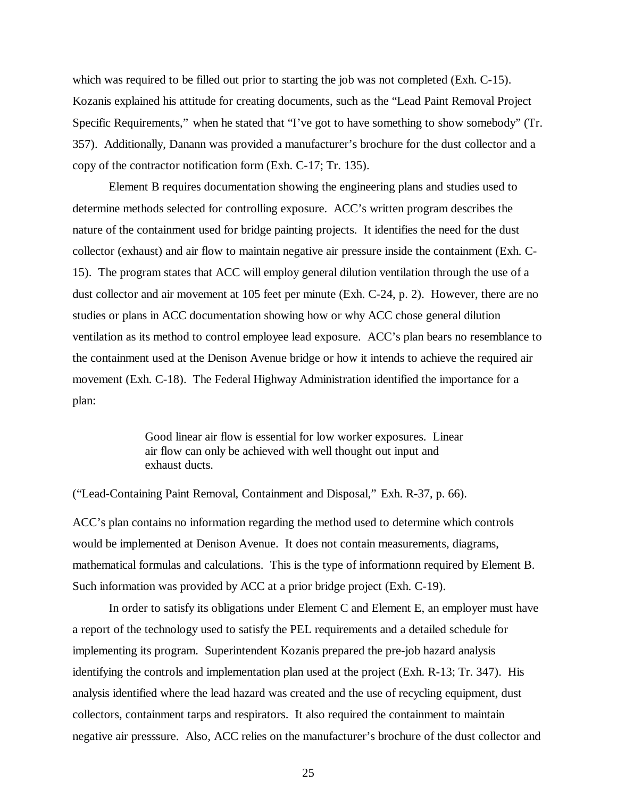which was required to be filled out prior to starting the job was not completed (Exh. C-15). Kozanis explained his attitude for creating documents, such as the "Lead Paint Removal Project Specific Requirements," when he stated that "I've got to have something to show somebody" (Tr. 357). Additionally, Danann was provided a manufacturer's brochure for the dust collector and a copy of the contractor notification form (Exh. C-17; Tr. 135).

Element B requires documentation showing the engineering plans and studies used to determine methods selected for controlling exposure. ACC's written program describes the nature of the containment used for bridge painting projects. It identifies the need for the dust collector (exhaust) and air flow to maintain negative air pressure inside the containment (Exh. C-15). The program states that ACC will employ general dilution ventilation through the use of a dust collector and air movement at 105 feet per minute (Exh. C-24, p. 2). However, there are no studies or plans in ACC documentation showing how or why ACC chose general dilution ventilation as its method to control employee lead exposure. ACC's plan bears no resemblance to the containment used at the Denison Avenue bridge or how it intends to achieve the required air movement (Exh. C-18). The Federal Highway Administration identified the importance for a plan:

> Good linear air flow is essential for low worker exposures. Linear air flow can only be achieved with well thought out input and exhaust ducts.

("Lead-Containing Paint Removal, Containment and Disposal," Exh. R-37, p. 66).

ACC's plan contains no information regarding the method used to determine which controls would be implemented at Denison Avenue. It does not contain measurements, diagrams, mathematical formulas and calculations. This is the type of informationn required by Element B. Such information was provided by ACC at a prior bridge project (Exh. C-19).

In order to satisfy its obligations under Element C and Element E, an employer must have a report of the technology used to satisfy the PEL requirements and a detailed schedule for implementing its program. Superintendent Kozanis prepared the pre-job hazard analysis identifying the controls and implementation plan used at the project (Exh. R-13; Tr. 347). His analysis identified where the lead hazard was created and the use of recycling equipment, dust collectors, containment tarps and respirators. It also required the containment to maintain negative air presssure. Also, ACC relies on the manufacturer's brochure of the dust collector and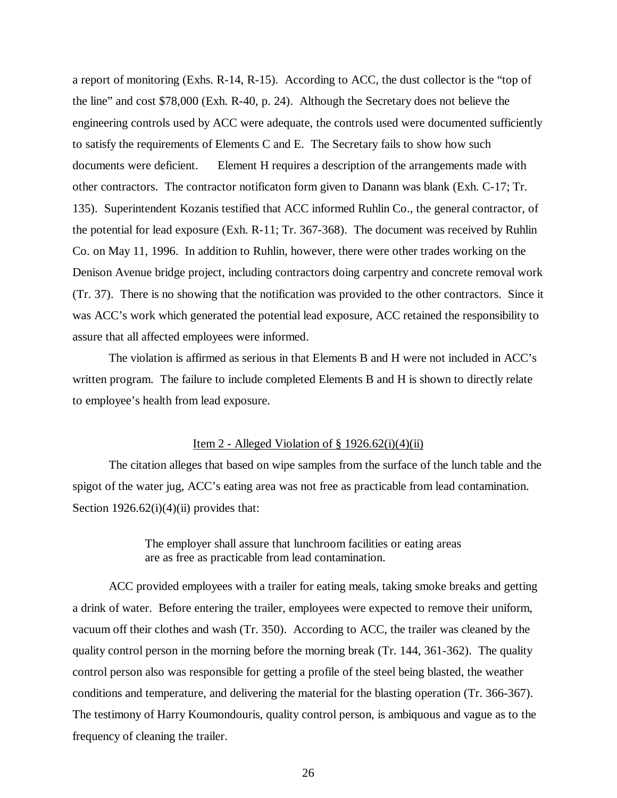a report of monitoring (Exhs. R-14, R-15). According to ACC, the dust collector is the "top of the line" and cost \$78,000 (Exh. R-40, p. 24). Although the Secretary does not believe the engineering controls used by ACC were adequate, the controls used were documented sufficiently to satisfy the requirements of Elements C and E. The Secretary fails to show how such documents were deficient. Element H requires a description of the arrangements made with other contractors. The contractor notificaton form given to Danann was blank (Exh. C-17; Tr. 135). Superintendent Kozanis testified that ACC informed Ruhlin Co., the general contractor, of the potential for lead exposure (Exh. R-11; Tr. 367-368). The document was received by Ruhlin Co. on May 11, 1996. In addition to Ruhlin, however, there were other trades working on the Denison Avenue bridge project, including contractors doing carpentry and concrete removal work (Tr. 37). There is no showing that the notification was provided to the other contractors. Since it was ACC's work which generated the potential lead exposure, ACC retained the responsibility to assure that all affected employees were informed.

The violation is affirmed as serious in that Elements B and H were not included in ACC's written program. The failure to include completed Elements B and H is shown to directly relate to employee's health from lead exposure.

# Item 2 - Alleged Violation of  $\S 1926.62(i)(4)(ii)$

The citation alleges that based on wipe samples from the surface of the lunch table and the spigot of the water jug, ACC's eating area was not free as practicable from lead contamination. Section  $1926.62(i)(4)(ii)$  provides that:

> The employer shall assure that lunchroom facilities or eating areas are as free as practicable from lead contamination.

ACC provided employees with a trailer for eating meals, taking smoke breaks and getting a drink of water. Before entering the trailer, employees were expected to remove their uniform, vacuum off their clothes and wash (Tr. 350). According to ACC, the trailer was cleaned by the quality control person in the morning before the morning break (Tr. 144, 361-362). The quality control person also was responsible for getting a profile of the steel being blasted, the weather conditions and temperature, and delivering the material for the blasting operation (Tr. 366-367). The testimony of Harry Koumondouris, quality control person, is ambiquous and vague as to the frequency of cleaning the trailer.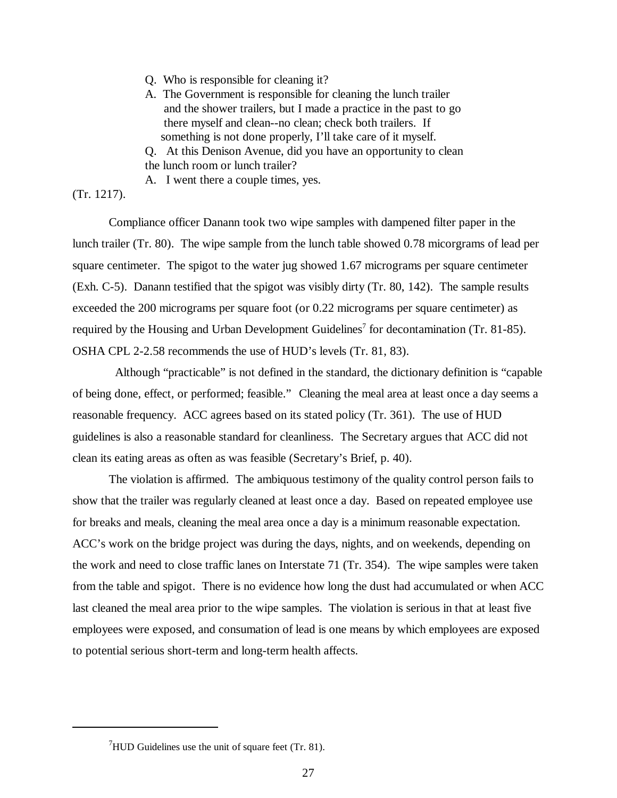- Q. Who is responsible for cleaning it?
- A. The Government is responsible for cleaning the lunch trailer and the shower trailers, but I made a practice in the past to go there myself and clean--no clean; check both trailers. If something is not done properly, I'll take care of it myself.
- Q. At this Denison Avenue, did you have an opportunity to clean the lunch room or lunch trailer?

A. I went there a couple times, yes.

# (Tr. 1217).

Compliance officer Danann took two wipe samples with dampened filter paper in the lunch trailer (Tr. 80). The wipe sample from the lunch table showed 0.78 micorgrams of lead per square centimeter. The spigot to the water jug showed 1.67 micrograms per square centimeter (Exh. C-5). Danann testified that the spigot was visibly dirty (Tr. 80, 142). The sample results exceeded the 200 micrograms per square foot (or 0.22 micrograms per square centimeter) as required by the Housing and Urban Development Guidelines<sup>7</sup> for decontamination (Tr. 81-85). OSHA CPL 2-2.58 recommends the use of HUD's levels (Tr. 81, 83).

 Although "practicable" is not defined in the standard, the dictionary definition is "capable of being done, effect, or performed; feasible." Cleaning the meal area at least once a day seems a reasonable frequency. ACC agrees based on its stated policy (Tr. 361). The use of HUD guidelines is also a reasonable standard for cleanliness. The Secretary argues that ACC did not clean its eating areas as often as was feasible (Secretary's Brief, p. 40).

The violation is affirmed. The ambiquous testimony of the quality control person fails to show that the trailer was regularly cleaned at least once a day. Based on repeated employee use for breaks and meals, cleaning the meal area once a day is a minimum reasonable expectation. ACC's work on the bridge project was during the days, nights, and on weekends, depending on the work and need to close traffic lanes on Interstate 71 (Tr. 354). The wipe samples were taken from the table and spigot. There is no evidence how long the dust had accumulated or when ACC last cleaned the meal area prior to the wipe samples. The violation is serious in that at least five employees were exposed, and consumation of lead is one means by which employees are exposed to potential serious short-term and long-term health affects.

 $<sup>7</sup>$ HUD Guidelines use the unit of square feet (Tr. 81).</sup>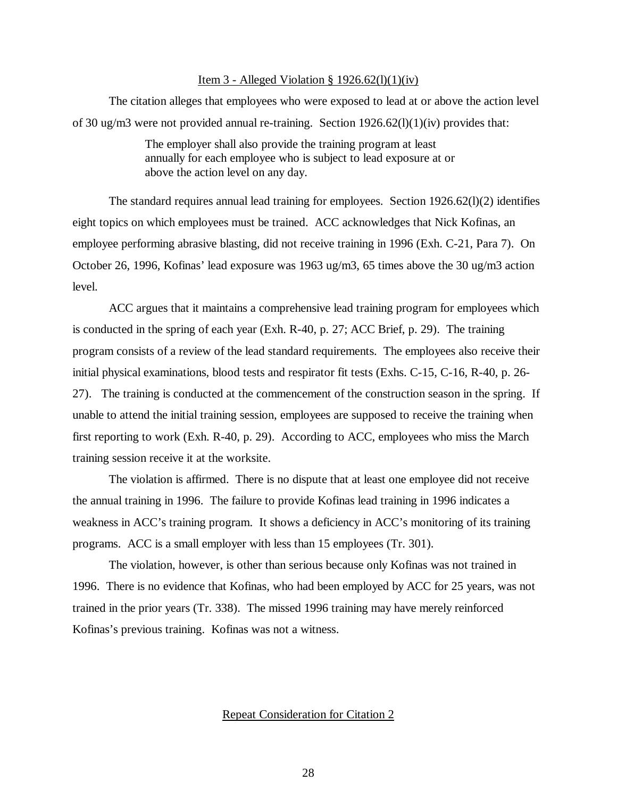#### Item 3 - Alleged Violation § 1926.62(l)(1)(iv)

The citation alleges that employees who were exposed to lead at or above the action level of 30 ug/m3 were not provided annual re-training. Section  $1926.62(l)(1)(iv)$  provides that:

> The employer shall also provide the training program at least annually for each employee who is subject to lead exposure at or above the action level on any day.

The standard requires annual lead training for employees. Section 1926.62(l)(2) identifies eight topics on which employees must be trained. ACC acknowledges that Nick Kofinas, an employee performing abrasive blasting, did not receive training in 1996 (Exh. C-21, Para 7). On October 26, 1996, Kofinas' lead exposure was 1963 ug/m3, 65 times above the 30 ug/m3 action level.

ACC argues that it maintains a comprehensive lead training program for employees which is conducted in the spring of each year (Exh. R-40, p. 27; ACC Brief, p. 29). The training program consists of a review of the lead standard requirements. The employees also receive their initial physical examinations, blood tests and respirator fit tests (Exhs. C-15, C-16, R-40, p. 26- 27). The training is conducted at the commencement of the construction season in the spring. If unable to attend the initial training session, employees are supposed to receive the training when first reporting to work (Exh. R-40, p. 29). According to ACC, employees who miss the March training session receive it at the worksite.

The violation is affirmed. There is no dispute that at least one employee did not receive the annual training in 1996. The failure to provide Kofinas lead training in 1996 indicates a weakness in ACC's training program. It shows a deficiency in ACC's monitoring of its training programs. ACC is a small employer with less than 15 employees (Tr. 301).

The violation, however, is other than serious because only Kofinas was not trained in 1996. There is no evidence that Kofinas, who had been employed by ACC for 25 years, was not trained in the prior years (Tr. 338). The missed 1996 training may have merely reinforced Kofinas's previous training. Kofinas was not a witness.

### Repeat Consideration for Citation 2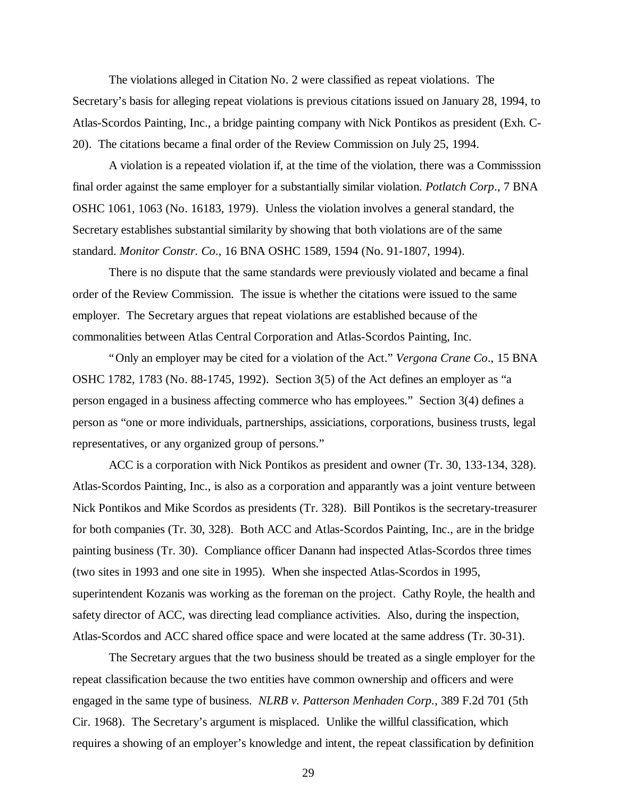The violations alleged in Citation No. 2 were classified as repeat violations. The Secretary's basis for alleging repeat violations is previous citations issued on January 28, 1994, to Atlas-Scordos Painting, Inc., a bridge painting company with Nick Pontikos as president (Exh. C-20). The citations became a final order of the Review Commission on July 25, 1994.

A violation is a repeated violation if, at the time of the violation, there was a Commisssion final order against the same employer for a substantially similar violation. *Potlatch Corp*., 7 BNA OSHC 1061, 1063 (No. 16183, 1979). Unless the violation involves a general standard, the Secretary establishes substantial similarity by showing that both violations are of the same standard. *Monitor Constr. Co*., 16 BNA OSHC 1589, 1594 (No. 91-1807, 1994).

There is no dispute that the same standards were previously violated and became a final order of the Review Commission. The issue is whether the citations were issued to the same employer. The Secretary argues that repeat violations are established because of the commonalities between Atlas Central Corporation and Atlas-Scordos Painting, Inc.

"Only an employer may be cited for a violation of the Act." *Vergona Crane Co*., 15 BNA OSHC 1782, 1783 (No. 88-1745, 1992). Section 3(5) of the Act defines an employer as "a person engaged in a business affecting commerce who has employees." Section 3(4) defines a person as "one or more individuals, partnerships, assiciations, corporations, business trusts, legal representatives, or any organized group of persons."

ACC is a corporation with Nick Pontikos as president and owner (Tr. 30, 133-134, 328). Atlas-Scordos Painting, Inc., is also as a corporation and apparantly was a joint venture between Nick Pontikos and Mike Scordos as presidents (Tr. 328). Bill Pontikos is the secretary-treasurer for both companies (Tr. 30, 328). Both ACC and Atlas-Scordos Painting, Inc., are in the bridge painting business (Tr. 30). Compliance officer Danann had inspected Atlas-Scordos three times (two sites in 1993 and one site in 1995). When she inspected Atlas-Scordos in 1995, superintendent Kozanis was working as the foreman on the project. Cathy Royle, the health and safety director of ACC, was directing lead compliance activities. Also, during the inspection, Atlas-Scordos and ACC shared office space and were located at the same address (Tr. 30-31).

The Secretary argues that the two business should be treated as a single employer for the repeat classification because the two entities have common ownership and officers and were engaged in the same type of business. *NLRB v. Patterson Menhaden Corp.*, 389 F.2d 701 (5th Cir. 1968). The Secretary's argument is misplaced. Unlike the willful classification, which requires a showing of an employer's knowledge and intent, the repeat classification by definition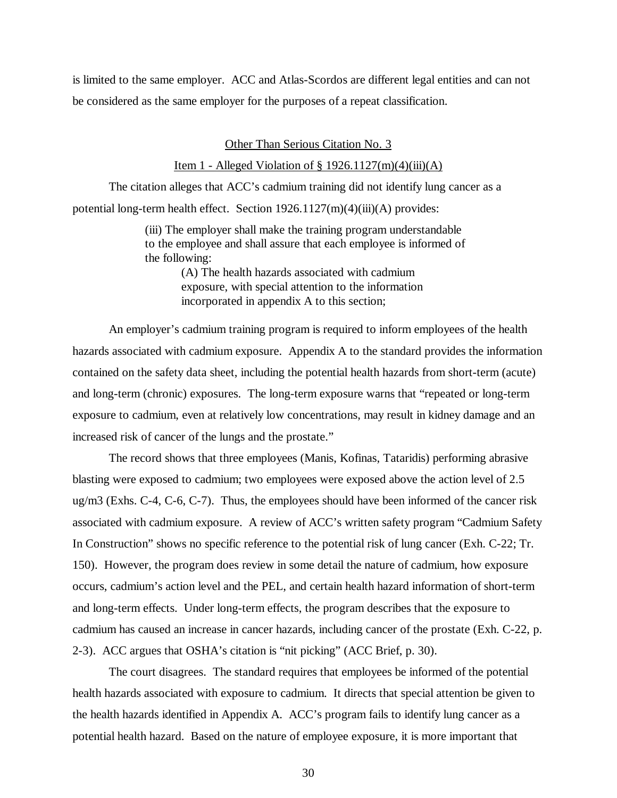is limited to the same employer. ACC and Atlas-Scordos are different legal entities and can not be considered as the same employer for the purposes of a repeat classification.

### Other Than Serious Citation No. 3

# Item 1 - Alleged Violation of  $\S 1926.1127(m)(4)(iii)(A)$

The citation alleges that ACC's cadmium training did not identify lung cancer as a potential long-term health effect. Section 1926.1127(m)(4)(iii)(A) provides:

> (iii) The employer shall make the training program understandable to the employee and shall assure that each employee is informed of the following:

> > (A) The health hazards associated with cadmium exposure, with special attention to the information incorporated in appendix A to this section;

An employer's cadmium training program is required to inform employees of the health hazards associated with cadmium exposure. Appendix A to the standard provides the information contained on the safety data sheet, including the potential health hazards from short-term (acute) and long-term (chronic) exposures. The long-term exposure warns that "repeated or long-term exposure to cadmium, even at relatively low concentrations, may result in kidney damage and an increased risk of cancer of the lungs and the prostate."

The record shows that three employees (Manis, Kofinas, Tataridis) performing abrasive blasting were exposed to cadmium; two employees were exposed above the action level of 2.5 ug/m3 (Exhs. C-4, C-6, C-7). Thus, the employees should have been informed of the cancer risk associated with cadmium exposure. A review of ACC's written safety program "Cadmium Safety In Construction" shows no specific reference to the potential risk of lung cancer (Exh. C-22; Tr. 150). However, the program does review in some detail the nature of cadmium, how exposure occurs, cadmium's action level and the PEL, and certain health hazard information of short-term and long-term effects. Under long-term effects, the program describes that the exposure to cadmium has caused an increase in cancer hazards, including cancer of the prostate (Exh. C-22, p. 2-3). ACC argues that OSHA's citation is "nit picking" (ACC Brief, p. 30).

The court disagrees. The standard requires that employees be informed of the potential health hazards associated with exposure to cadmium. It directs that special attention be given to the health hazards identified in Appendix A. ACC's program fails to identify lung cancer as a potential health hazard. Based on the nature of employee exposure, it is more important that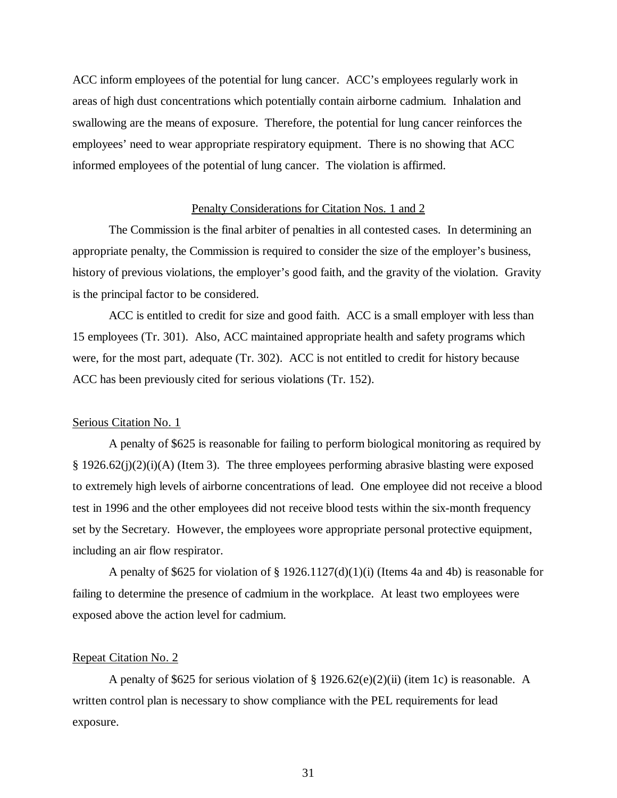ACC inform employees of the potential for lung cancer. ACC's employees regularly work in areas of high dust concentrations which potentially contain airborne cadmium. Inhalation and swallowing are the means of exposure. Therefore, the potential for lung cancer reinforces the employees' need to wear appropriate respiratory equipment. There is no showing that ACC informed employees of the potential of lung cancer. The violation is affirmed.

# Penalty Considerations for Citation Nos. 1 and 2

The Commission is the final arbiter of penalties in all contested cases. In determining an appropriate penalty, the Commission is required to consider the size of the employer's business, history of previous violations, the employer's good faith, and the gravity of the violation. Gravity is the principal factor to be considered.

ACC is entitled to credit for size and good faith. ACC is a small employer with less than 15 employees (Tr. 301). Also, ACC maintained appropriate health and safety programs which were, for the most part, adequate (Tr. 302). ACC is not entitled to credit for history because ACC has been previously cited for serious violations (Tr. 152).

#### Serious Citation No. 1

A penalty of \$625 is reasonable for failing to perform biological monitoring as required by  $§$  1926.62(j)(2)(i)(A) (Item 3). The three employees performing abrasive blasting were exposed to extremely high levels of airborne concentrations of lead. One employee did not receive a blood test in 1996 and the other employees did not receive blood tests within the six-month frequency set by the Secretary. However, the employees wore appropriate personal protective equipment, including an air flow respirator.

A penalty of \$625 for violation of  $\S 1926.1127(d)(1)(i)$  (Items 4a and 4b) is reasonable for failing to determine the presence of cadmium in the workplace. At least two employees were exposed above the action level for cadmium.

#### Repeat Citation No. 2

A penalty of \$625 for serious violation of § 1926.62(e)(2)(ii) (item 1c) is reasonable. A written control plan is necessary to show compliance with the PEL requirements for lead exposure.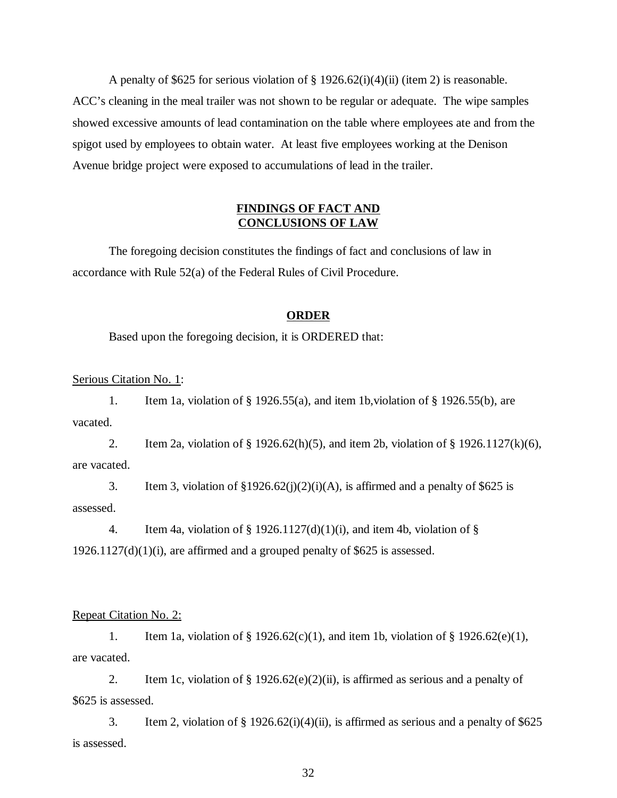A penalty of \$625 for serious violation of  $\S 1926.62(i)(4)(ii)$  (item 2) is reasonable. ACC's cleaning in the meal trailer was not shown to be regular or adequate. The wipe samples showed excessive amounts of lead contamination on the table where employees ate and from the spigot used by employees to obtain water. At least five employees working at the Denison Avenue bridge project were exposed to accumulations of lead in the trailer.

# **FINDINGS OF FACT AND CONCLUSIONS OF LAW**

The foregoing decision constitutes the findings of fact and conclusions of law in accordance with Rule 52(a) of the Federal Rules of Civil Procedure.

## **ORDER**

Based upon the foregoing decision, it is ORDERED that:

Serious Citation No. 1:

1. Item 1a, violation of § 1926.55(a), and item 1b,violation of § 1926.55(b), are vacated.

2. Item 2a, violation of  $\S$  1926.62(h)(5), and item 2b, violation of  $\S$  1926.1127(k)(6), are vacated.

3. Item 3, violation of  $\S 1926.62(j)(2)(i)(A)$ , is affirmed and a penalty of \$625 is assessed.

4. Item 4a, violation of  $\S$  1926.1127(d)(1)(i), and item 4b, violation of  $\S$  $1926.1127(d)(1)(i)$ , are affirmed and a grouped penalty of \$625 is assessed.

# Repeat Citation No. 2:

1. Item 1a, violation of § 1926.62(c)(1), and item 1b, violation of § 1926.62(e)(1), are vacated.

2. Item 1c, violation of  $\S 1926.62(e)(2)(ii)$ , is affirmed as serious and a penalty of \$625 is assessed.

3. Item 2, violation of  $\S 1926.62(i)(4)(ii)$ , is affirmed as serious and a penalty of  $\S 625$ is assessed.